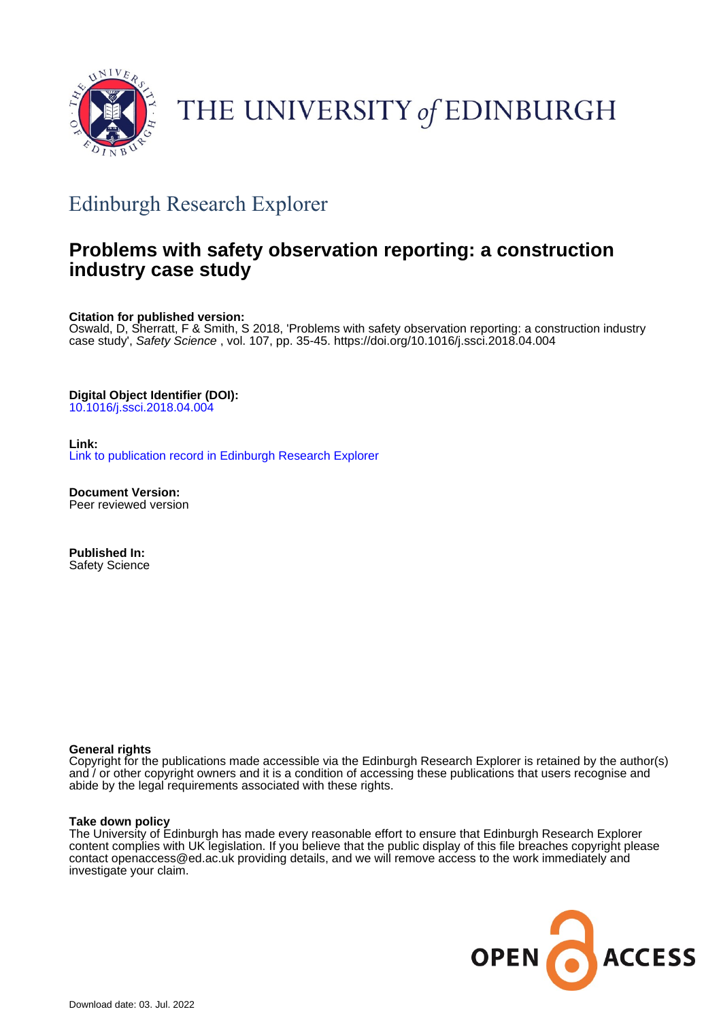

# THE UNIVERSITY of EDINBURGH

## Edinburgh Research Explorer

## **Problems with safety observation reporting: a construction industry case study**

**Citation for published version:**

Oswald, D, Sherratt, F & Smith, S 2018, 'Problems with safety observation reporting: a construction industry case study', Safety Science , vol. 107, pp. 35-45. <https://doi.org/10.1016/j.ssci.2018.04.004>

**Digital Object Identifier (DOI):**

[10.1016/j.ssci.2018.04.004](https://doi.org/10.1016/j.ssci.2018.04.004)

**Link:** [Link to publication record in Edinburgh Research Explorer](https://www.research.ed.ac.uk/en/publications/c0bf911a-23b3-4f9e-87f1-1e6bfc4da863)

**Document Version:** Peer reviewed version

**Published In:** Safety Science

#### **General rights**

Copyright for the publications made accessible via the Edinburgh Research Explorer is retained by the author(s) and / or other copyright owners and it is a condition of accessing these publications that users recognise and abide by the legal requirements associated with these rights.

#### **Take down policy**

The University of Edinburgh has made every reasonable effort to ensure that Edinburgh Research Explorer content complies with UK legislation. If you believe that the public display of this file breaches copyright please contact openaccess@ed.ac.uk providing details, and we will remove access to the work immediately and investigate your claim.

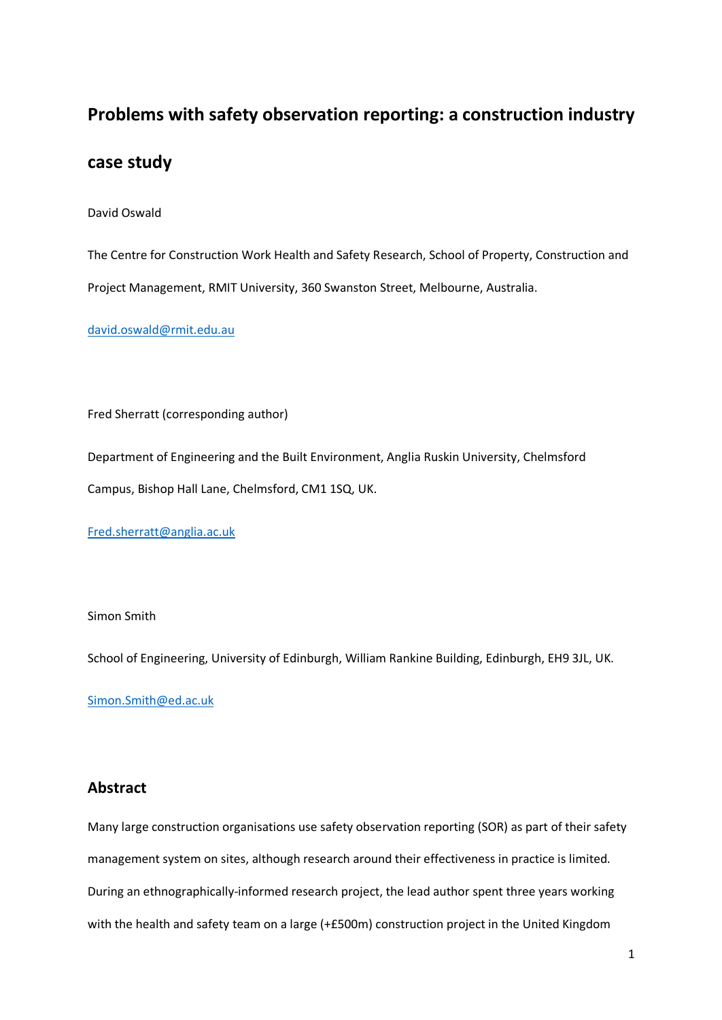## **Problems with safety observation reporting: a construction industry**

## **case study**

#### David Oswald

The Centre for Construction Work Health and Safety Research, School of Property, Construction and Project Management, RMIT University, 360 Swanston Street, Melbourne, Australia.

david.oswald@rmit.edu.au

Fred Sherratt (corresponding author)

Department of Engineering and the Built Environment, Anglia Ruskin University, Chelmsford

Campus, Bishop Hall Lane, Chelmsford, CM1 1SQ, UK.

Fred.sherratt@anglia.ac.uk

#### Simon Smith

School of Engineering, University of Edinburgh, William Rankine Building, Edinburgh, EH9 3JL, UK.

Simon.Smith@ed.ac.uk

### **Abstract**

Many large construction organisations use safety observation reporting (SOR) as part of their safety management system on sites, although research around their effectiveness in practice is limited. During an ethnographically-informed research project, the lead author spent three years working with the health and safety team on a large (+£500m) construction project in the United Kingdom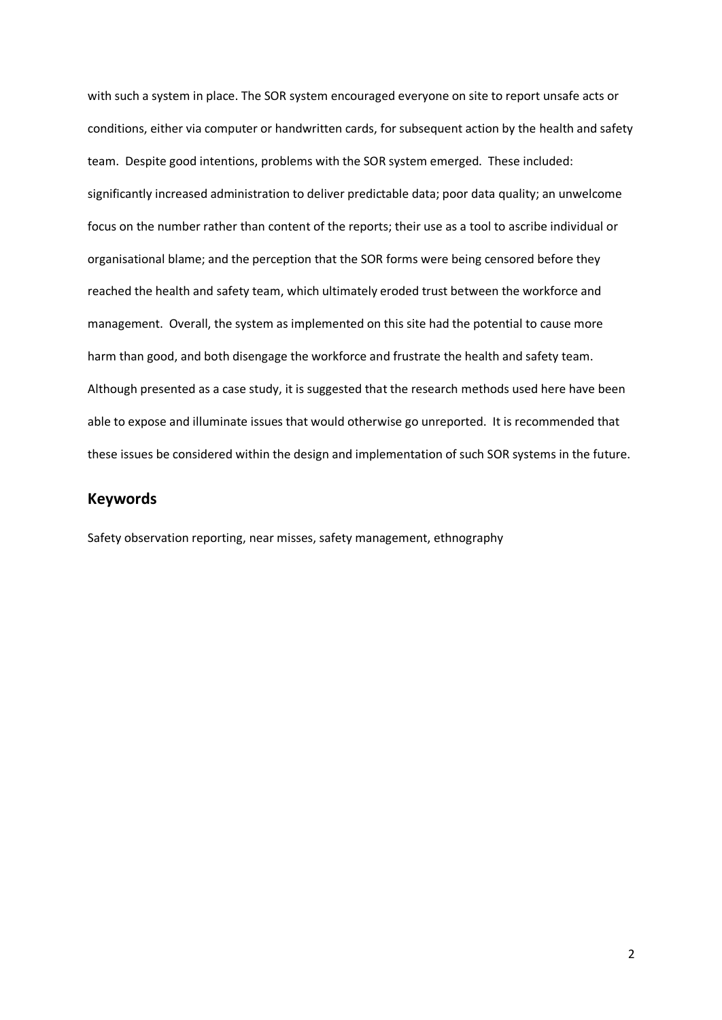with such a system in place. The SOR system encouraged everyone on site to report unsafe acts or conditions, either via computer or handwritten cards, for subsequent action by the health and safety team. Despite good intentions, problems with the SOR system emerged. These included: significantly increased administration to deliver predictable data; poor data quality; an unwelcome focus on the number rather than content of the reports; their use as a tool to ascribe individual or organisational blame; and the perception that the SOR forms were being censored before they reached the health and safety team, which ultimately eroded trust between the workforce and management. Overall, the system as implemented on this site had the potential to cause more harm than good, and both disengage the workforce and frustrate the health and safety team. Although presented as a case study, it is suggested that the research methods used here have been able to expose and illuminate issues that would otherwise go unreported. It is recommended that these issues be considered within the design and implementation of such SOR systems in the future.

## **Keywords**

Safety observation reporting, near misses, safety management, ethnography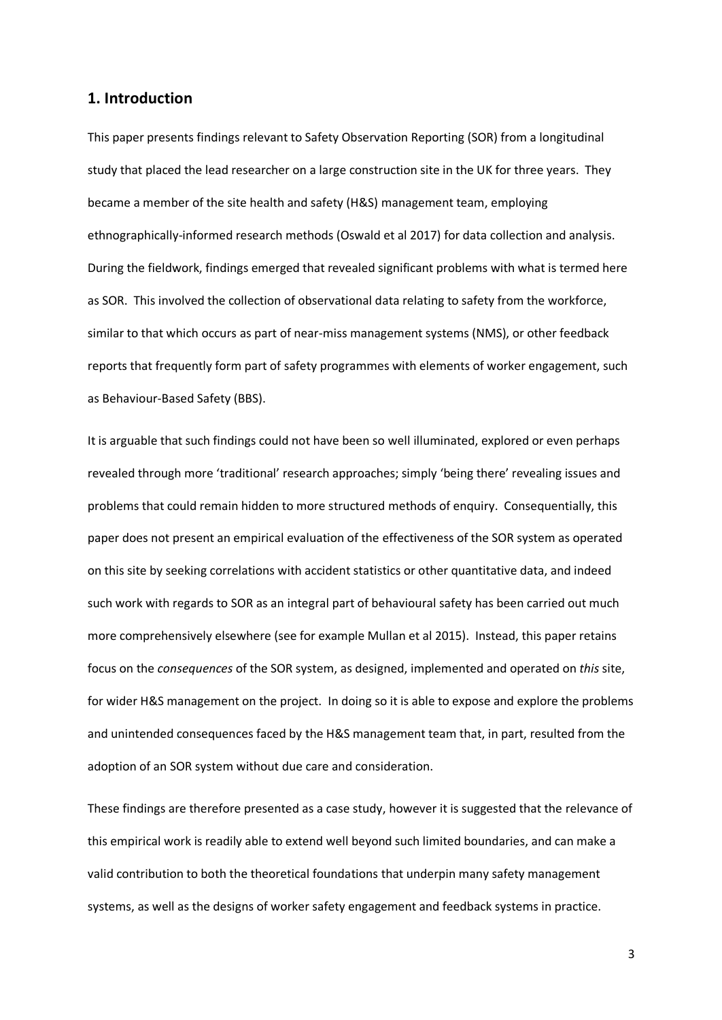## **1. Introduction**

This paper presents findings relevant to Safety Observation Reporting (SOR) from a longitudinal study that placed the lead researcher on a large construction site in the UK for three years. They became a member of the site health and safety (H&S) management team, employing ethnographically-informed research methods (Oswald et al 2017) for data collection and analysis. During the fieldwork, findings emerged that revealed significant problems with what is termed here as SOR. This involved the collection of observational data relating to safety from the workforce, similar to that which occurs as part of near-miss management systems (NMS), or other feedback reports that frequently form part of safety programmes with elements of worker engagement, such as Behaviour-Based Safety (BBS).

It is arguable that such findings could not have been so well illuminated, explored or even perhaps revealed through more 'traditional' research approaches; simply 'being there' revealing issues and problems that could remain hidden to more structured methods of enquiry. Consequentially, this paper does not present an empirical evaluation of the effectiveness of the SOR system as operated on this site by seeking correlations with accident statistics or other quantitative data, and indeed such work with regards to SOR as an integral part of behavioural safety has been carried out much more comprehensively elsewhere (see for example Mullan et al 2015). Instead, this paper retains focus on the *consequences* of the SOR system, as designed, implemented and operated on *this* site, for wider H&S management on the project. In doing so it is able to expose and explore the problems and unintended consequences faced by the H&S management team that, in part, resulted from the adoption of an SOR system without due care and consideration.

These findings are therefore presented as a case study, however it is suggested that the relevance of this empirical work is readily able to extend well beyond such limited boundaries, and can make a valid contribution to both the theoretical foundations that underpin many safety management systems, as well as the designs of worker safety engagement and feedback systems in practice.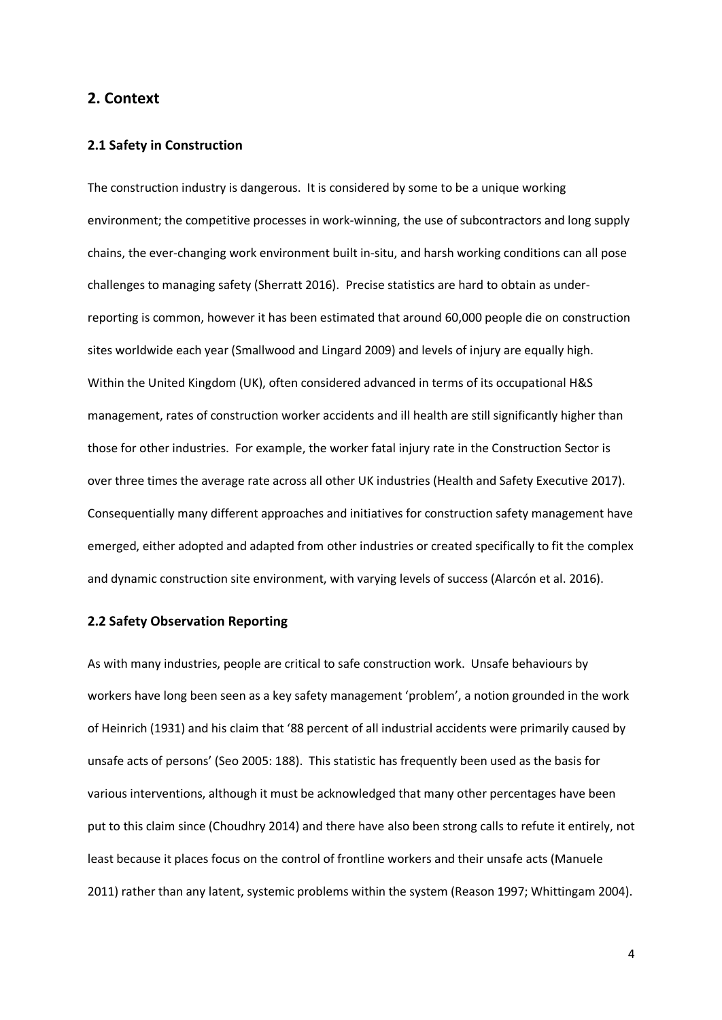## **2. Context**

#### **2.1 Safety in Construction**

The construction industry is dangerous. It is considered by some to be a unique working environment; the competitive processes in work-winning, the use of subcontractors and long supply chains, the ever-changing work environment built in-situ, and harsh working conditions can all pose challenges to managing safety (Sherratt 2016). Precise statistics are hard to obtain as underreporting is common, however it has been estimated that around 60,000 people die on construction sites worldwide each year (Smallwood and Lingard 2009) and levels of injury are equally high. Within the United Kingdom (UK), often considered advanced in terms of its occupational H&S management, rates of construction worker accidents and ill health are still significantly higher than those for other industries. For example, the worker fatal injury rate in the Construction Sector is over three times the average rate across all other UK industries (Health and Safety Executive 2017). Consequentially many different approaches and initiatives for construction safety management have emerged, either adopted and adapted from other industries or created specifically to fit the complex and dynamic construction site environment, with varying levels of success (Alarcón et al. 2016).

#### **2.2 Safety Observation Reporting**

As with many industries, people are critical to safe construction work. Unsafe behaviours by workers have long been seen as a key safety management 'problem', a notion grounded in the work of Heinrich (1931) and his claim that '88 percent of all industrial accidents were primarily caused by unsafe acts of persons' (Seo 2005: 188). This statistic has frequently been used as the basis for various interventions, although it must be acknowledged that many other percentages have been put to this claim since (Choudhry 2014) and there have also been strong calls to refute it entirely, not least because it places focus on the control of frontline workers and their unsafe acts (Manuele 2011) rather than any latent, systemic problems within the system (Reason 1997; Whittingam 2004).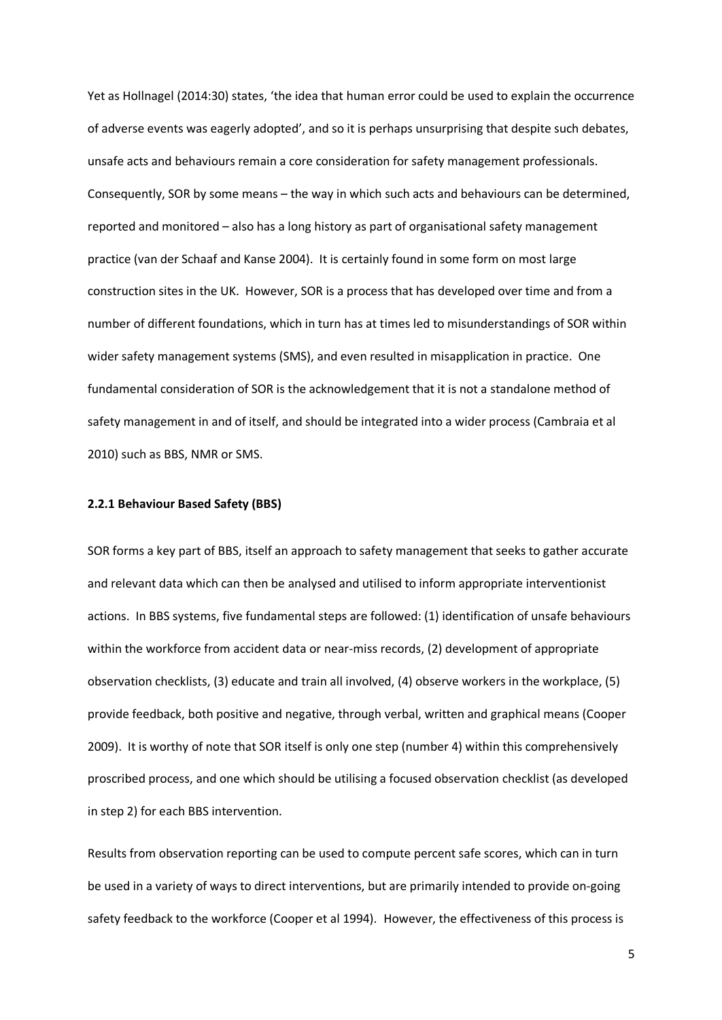Yet as Hollnagel (2014:30) states, 'the idea that human error could be used to explain the occurrence of adverse events was eagerly adopted', and so it is perhaps unsurprising that despite such debates, unsafe acts and behaviours remain a core consideration for safety management professionals. Consequently, SOR by some means – the way in which such acts and behaviours can be determined, reported and monitored – also has a long history as part of organisational safety management practice (van der Schaaf and Kanse 2004). It is certainly found in some form on most large construction sites in the UK. However, SOR is a process that has developed over time and from a number of different foundations, which in turn has at times led to misunderstandings of SOR within wider safety management systems (SMS), and even resulted in misapplication in practice. One fundamental consideration of SOR is the acknowledgement that it is not a standalone method of safety management in and of itself, and should be integrated into a wider process (Cambraia et al 2010) such as BBS, NMR or SMS.

#### **2.2.1 Behaviour Based Safety (BBS)**

SOR forms a key part of BBS, itself an approach to safety management that seeks to gather accurate and relevant data which can then be analysed and utilised to inform appropriate interventionist actions. In BBS systems, five fundamental steps are followed: (1) identification of unsafe behaviours within the workforce from accident data or near-miss records, (2) development of appropriate observation checklists, (3) educate and train all involved, (4) observe workers in the workplace, (5) provide feedback, both positive and negative, through verbal, written and graphical means (Cooper 2009). It is worthy of note that SOR itself is only one step (number 4) within this comprehensively proscribed process, and one which should be utilising a focused observation checklist (as developed in step 2) for each BBS intervention.

Results from observation reporting can be used to compute percent safe scores, which can in turn be used in a variety of ways to direct interventions, but are primarily intended to provide on-going safety feedback to the workforce (Cooper et al 1994). However, the effectiveness of this process is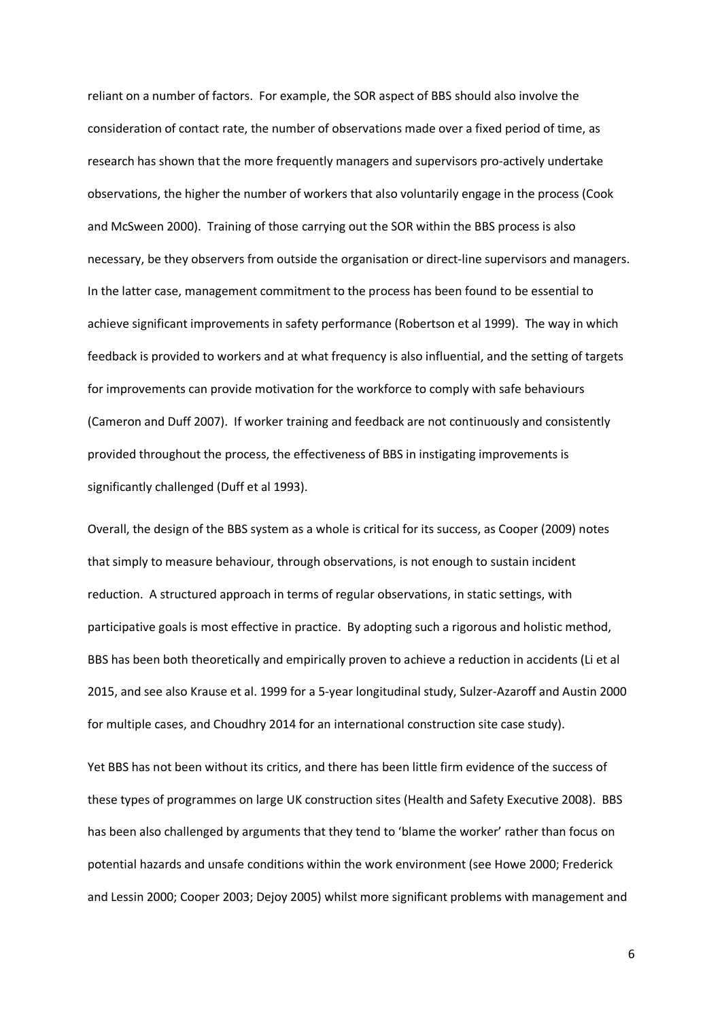reliant on a number of factors. For example, the SOR aspect of BBS should also involve the consideration of contact rate, the number of observations made over a fixed period of time, as research has shown that the more frequently managers and supervisors pro-actively undertake observations, the higher the number of workers that also voluntarily engage in the process (Cook and McSween 2000). Training of those carrying out the SOR within the BBS process is also necessary, be they observers from outside the organisation or direct-line supervisors and managers. In the latter case, management commitment to the process has been found to be essential to achieve significant improvements in safety performance (Robertson et al 1999). The way in which feedback is provided to workers and at what frequency is also influential, and the setting of targets for improvements can provide motivation for the workforce to comply with safe behaviours (Cameron and Duff 2007). If worker training and feedback are not continuously and consistently provided throughout the process, the effectiveness of BBS in instigating improvements is significantly challenged (Duff et al 1993).

Overall, the design of the BBS system as a whole is critical for its success, as Cooper (2009) notes that simply to measure behaviour, through observations, is not enough to sustain incident reduction. A structured approach in terms of regular observations, in static settings, with participative goals is most effective in practice. By adopting such a rigorous and holistic method, BBS has been both theoretically and empirically proven to achieve a reduction in accidents (Li et al 2015, and see also Krause et al. 1999 for a 5-year longitudinal study, Sulzer-Azaroff and Austin 2000 for multiple cases, and Choudhry 2014 for an international construction site case study).

Yet BBS has not been without its critics, and there has been little firm evidence of the success of these types of programmes on large UK construction sites (Health and Safety Executive 2008). BBS has been also challenged by arguments that they tend to 'blame the worker' rather than focus on potential hazards and unsafe conditions within the work environment (see Howe 2000; Frederick and Lessin 2000; Cooper 2003; Dejoy 2005) whilst more significant problems with management and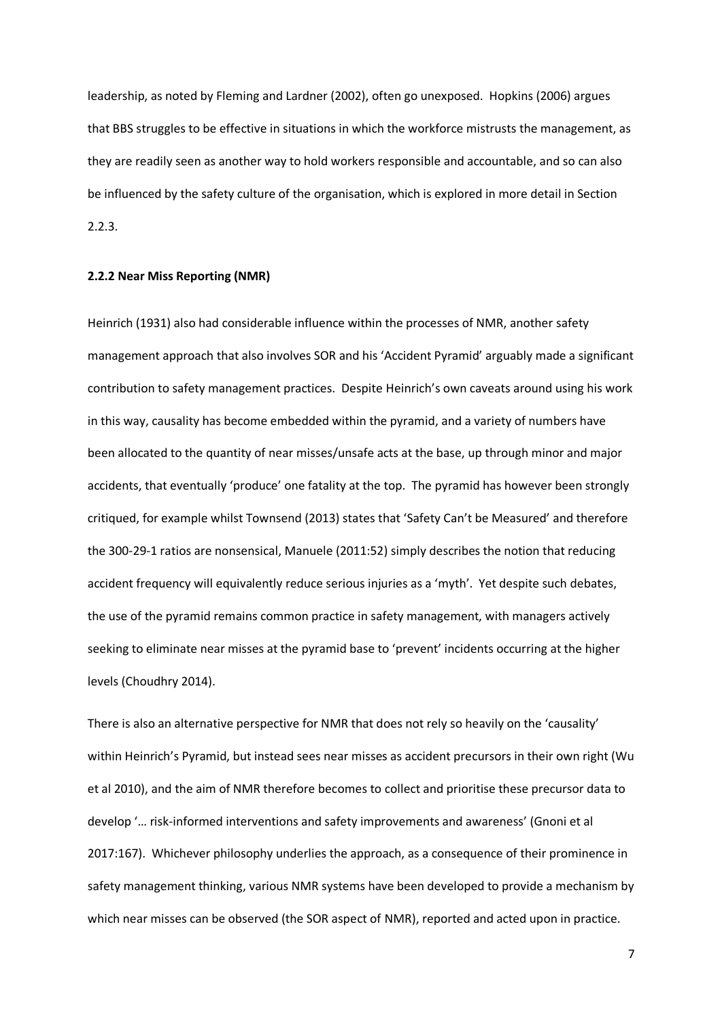leadership, as noted by Fleming and Lardner (2002), often go unexposed. Hopkins (2006) argues that BBS struggles to be effective in situations in which the workforce mistrusts the management, as they are readily seen as another way to hold workers responsible and accountable, and so can also be influenced by the safety culture of the organisation, which is explored in more detail in Section 2.2.3.

#### **2.2.2 Near Miss Reporting (NMR)**

Heinrich (1931) also had considerable influence within the processes of NMR, another safety management approach that also involves SOR and his 'Accident Pyramid' arguably made a significant contribution to safety management practices. Despite Heinrich's own caveats around using his work in this way, causality has become embedded within the pyramid, and a variety of numbers have been allocated to the quantity of near misses/unsafe acts at the base, up through minor and major accidents, that eventually 'produce' one fatality at the top. The pyramid has however been strongly critiqued, for example whilst Townsend (2013) states that 'Safety Can't be Measured' and therefore the 300-29-1 ratios are nonsensical, Manuele (2011:52) simply describes the notion that reducing accident frequency will equivalently reduce serious injuries as a 'myth'. Yet despite such debates, the use of the pyramid remains common practice in safety management, with managers actively seeking to eliminate near misses at the pyramid base to 'prevent' incidents occurring at the higher levels (Choudhry 2014).

There is also an alternative perspective for NMR that does not rely so heavily on the 'causality' within Heinrich's Pyramid, but instead sees near misses as accident precursors in their own right (Wu et al 2010), and the aim of NMR therefore becomes to collect and prioritise these precursor data to develop '… risk-informed interventions and safety improvements and awareness' (Gnoni et al 2017:167). Whichever philosophy underlies the approach, as a consequence of their prominence in safety management thinking, various NMR systems have been developed to provide a mechanism by which near misses can be observed (the SOR aspect of NMR), reported and acted upon in practice.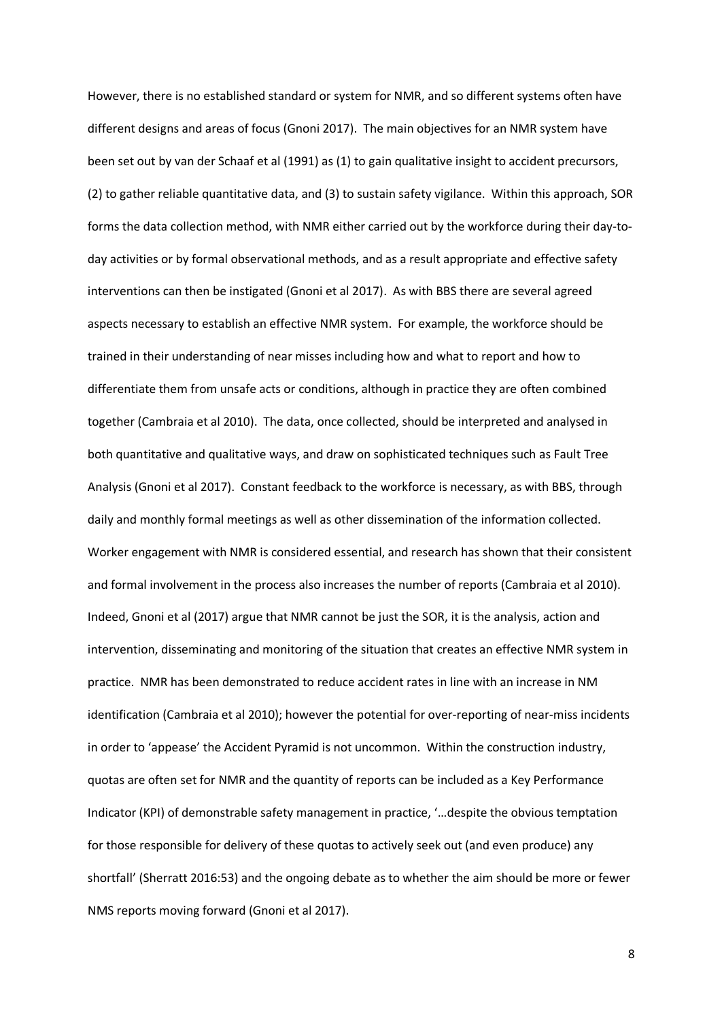However, there is no established standard or system for NMR, and so different systems often have different designs and areas of focus (Gnoni 2017). The main objectives for an NMR system have been set out by van der Schaaf et al (1991) as (1) to gain qualitative insight to accident precursors, (2) to gather reliable quantitative data, and (3) to sustain safety vigilance. Within this approach, SOR forms the data collection method, with NMR either carried out by the workforce during their day-today activities or by formal observational methods, and as a result appropriate and effective safety interventions can then be instigated (Gnoni et al 2017). As with BBS there are several agreed aspects necessary to establish an effective NMR system. For example, the workforce should be trained in their understanding of near misses including how and what to report and how to differentiate them from unsafe acts or conditions, although in practice they are often combined together (Cambraia et al 2010). The data, once collected, should be interpreted and analysed in both quantitative and qualitative ways, and draw on sophisticated techniques such as Fault Tree Analysis (Gnoni et al 2017). Constant feedback to the workforce is necessary, as with BBS, through daily and monthly formal meetings as well as other dissemination of the information collected. Worker engagement with NMR is considered essential, and research has shown that their consistent and formal involvement in the process also increases the number of reports (Cambraia et al 2010). Indeed, Gnoni et al (2017) argue that NMR cannot be just the SOR, it is the analysis, action and intervention, disseminating and monitoring of the situation that creates an effective NMR system in practice. NMR has been demonstrated to reduce accident rates in line with an increase in NM identification (Cambraia et al 2010); however the potential for over-reporting of near-miss incidents in order to 'appease' the Accident Pyramid is not uncommon. Within the construction industry, quotas are often set for NMR and the quantity of reports can be included as a Key Performance Indicator (KPI) of demonstrable safety management in practice, '…despite the obvious temptation for those responsible for delivery of these quotas to actively seek out (and even produce) any shortfall' (Sherratt 2016:53) and the ongoing debate as to whether the aim should be more or fewer NMS reports moving forward (Gnoni et al 2017).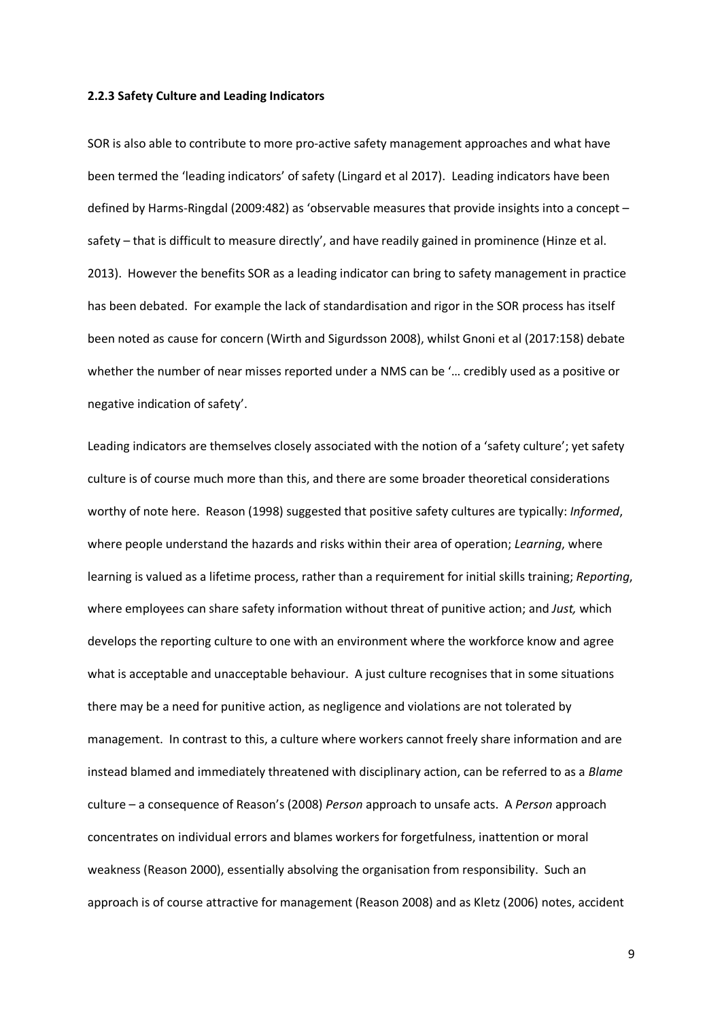#### **2.2.3 Safety Culture and Leading Indicators**

SOR is also able to contribute to more pro-active safety management approaches and what have been termed the 'leading indicators' of safety (Lingard et al 2017). Leading indicators have been defined by Harms-Ringdal (2009:482) as 'observable measures that provide insights into a concept – safety – that is difficult to measure directly', and have readily gained in prominence (Hinze et al. 2013). However the benefits SOR as a leading indicator can bring to safety management in practice has been debated. For example the lack of standardisation and rigor in the SOR process has itself been noted as cause for concern (Wirth and Sigurdsson 2008), whilst Gnoni et al (2017:158) debate whether the number of near misses reported under a NMS can be '… credibly used as a positive or negative indication of safety'.

Leading indicators are themselves closely associated with the notion of a 'safety culture'; yet safety culture is of course much more than this, and there are some broader theoretical considerations worthy of note here. Reason (1998) suggested that positive safety cultures are typically: *Informed*, where people understand the hazards and risks within their area of operation; *Learning*, where learning is valued as a lifetime process, rather than a requirement for initial skills training; *Reporting*, where employees can share safety information without threat of punitive action; and *Just,* which develops the reporting culture to one with an environment where the workforce know and agree what is acceptable and unacceptable behaviour. A just culture recognises that in some situations there may be a need for punitive action, as negligence and violations are not tolerated by management. In contrast to this, a culture where workers cannot freely share information and are instead blamed and immediately threatened with disciplinary action, can be referred to as a *Blame* culture – a consequence of Reason's (2008) *Person* approach to unsafe acts. A *Person* approach concentrates on individual errors and blames workers for forgetfulness, inattention or moral weakness (Reason 2000), essentially absolving the organisation from responsibility. Such an approach is of course attractive for management (Reason 2008) and as Kletz (2006) notes, accident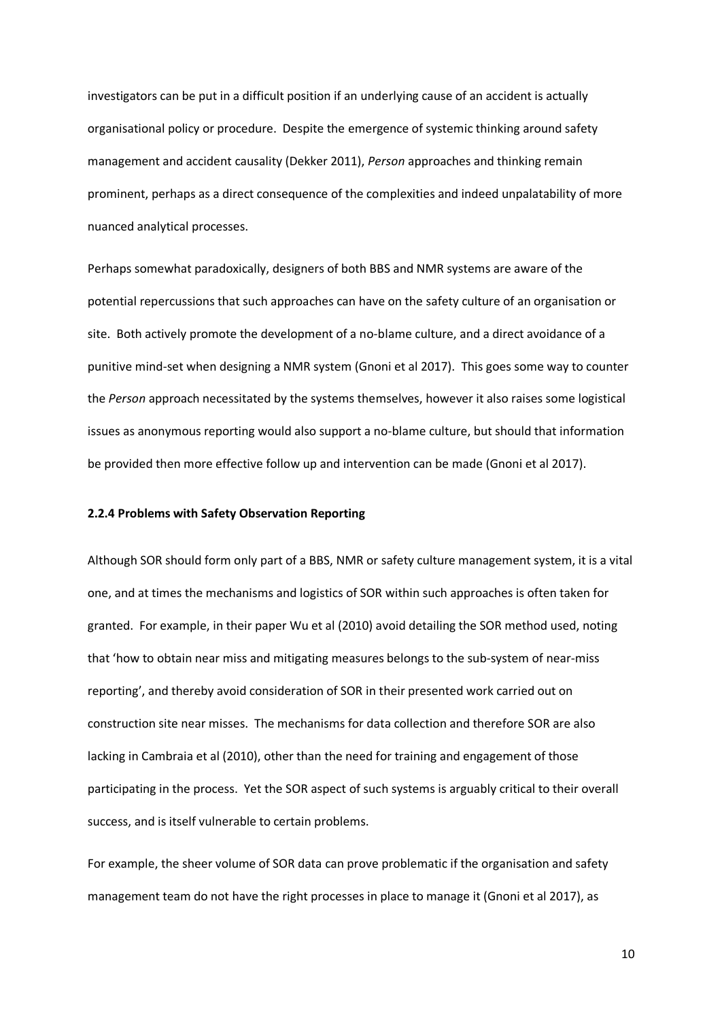investigators can be put in a difficult position if an underlying cause of an accident is actually organisational policy or procedure. Despite the emergence of systemic thinking around safety management and accident causality (Dekker 2011), *Person* approaches and thinking remain prominent, perhaps as a direct consequence of the complexities and indeed unpalatability of more nuanced analytical processes.

Perhaps somewhat paradoxically, designers of both BBS and NMR systems are aware of the potential repercussions that such approaches can have on the safety culture of an organisation or site. Both actively promote the development of a no-blame culture, and a direct avoidance of a punitive mind-set when designing a NMR system (Gnoni et al 2017). This goes some way to counter the *Person* approach necessitated by the systems themselves, however it also raises some logistical issues as anonymous reporting would also support a no-blame culture, but should that information be provided then more effective follow up and intervention can be made (Gnoni et al 2017).

#### **2.2.4 Problems with Safety Observation Reporting**

Although SOR should form only part of a BBS, NMR or safety culture management system, it is a vital one, and at times the mechanisms and logistics of SOR within such approaches is often taken for granted. For example, in their paper Wu et al (2010) avoid detailing the SOR method used, noting that 'how to obtain near miss and mitigating measures belongs to the sub-system of near-miss reporting', and thereby avoid consideration of SOR in their presented work carried out on construction site near misses. The mechanisms for data collection and therefore SOR are also lacking in Cambraia et al (2010), other than the need for training and engagement of those participating in the process. Yet the SOR aspect of such systems is arguably critical to their overall success, and is itself vulnerable to certain problems.

For example, the sheer volume of SOR data can prove problematic if the organisation and safety management team do not have the right processes in place to manage it (Gnoni et al 2017), as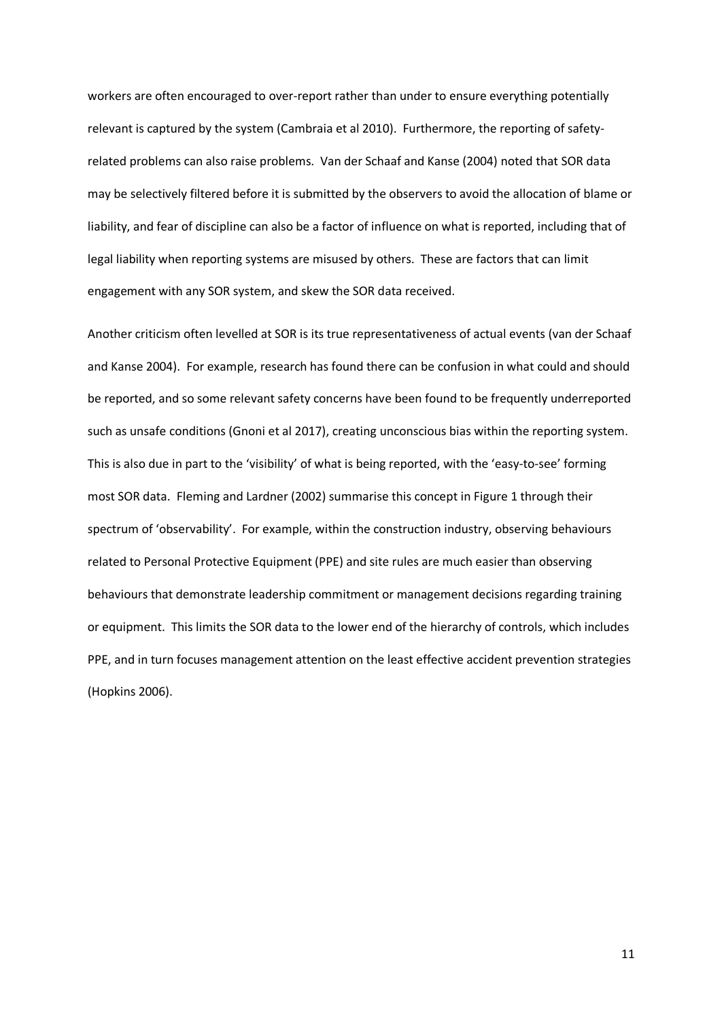workers are often encouraged to over-report rather than under to ensure everything potentially relevant is captured by the system (Cambraia et al 2010). Furthermore, the reporting of safetyrelated problems can also raise problems. Van der Schaaf and Kanse (2004) noted that SOR data may be selectively filtered before it is submitted by the observers to avoid the allocation of blame or liability, and fear of discipline can also be a factor of influence on what is reported, including that of legal liability when reporting systems are misused by others. These are factors that can limit engagement with any SOR system, and skew the SOR data received.

Another criticism often levelled at SOR is its true representativeness of actual events (van der Schaaf and Kanse 2004). For example, research has found there can be confusion in what could and should be reported, and so some relevant safety concerns have been found to be frequently underreported such as unsafe conditions (Gnoni et al 2017), creating unconscious bias within the reporting system. This is also due in part to the 'visibility' of what is being reported, with the 'easy-to-see' forming most SOR data. Fleming and Lardner (2002) summarise this concept in Figure 1 through their spectrum of 'observability'. For example, within the construction industry, observing behaviours related to Personal Protective Equipment (PPE) and site rules are much easier than observing behaviours that demonstrate leadership commitment or management decisions regarding training or equipment. This limits the SOR data to the lower end of the hierarchy of controls, which includes PPE, and in turn focuses management attention on the least effective accident prevention strategies (Hopkins 2006).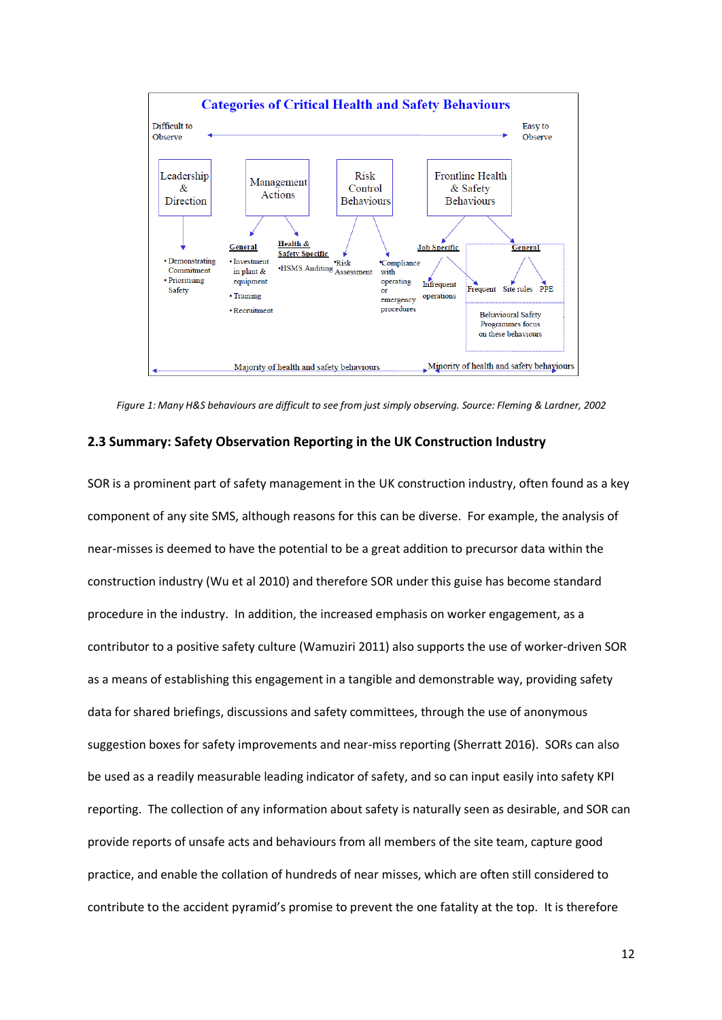

*Figure 1: Many H&S behaviours are difficult to see from just simply observing. Source: Fleming & Lardner, 2002*

#### **2.3 Summary: Safety Observation Reporting in the UK Construction Industry**

SOR is a prominent part of safety management in the UK construction industry, often found as a key component of any site SMS, although reasons for this can be diverse. For example, the analysis of near-misses is deemed to have the potential to be a great addition to precursor data within the construction industry (Wu et al 2010) and therefore SOR under this guise has become standard procedure in the industry. In addition, the increased emphasis on worker engagement, as a contributor to a positive safety culture (Wamuziri 2011) also supports the use of worker-driven SOR as a means of establishing this engagement in a tangible and demonstrable way, providing safety data for shared briefings, discussions and safety committees, through the use of anonymous suggestion boxes for safety improvements and near-miss reporting (Sherratt 2016). SORs can also be used as a readily measurable leading indicator of safety, and so can input easily into safety KPI reporting. The collection of any information about safety is naturally seen as desirable, and SOR can provide reports of unsafe acts and behaviours from all members of the site team, capture good practice, and enable the collation of hundreds of near misses, which are often still considered to contribute to the accident pyramid's promise to prevent the one fatality at the top. It is therefore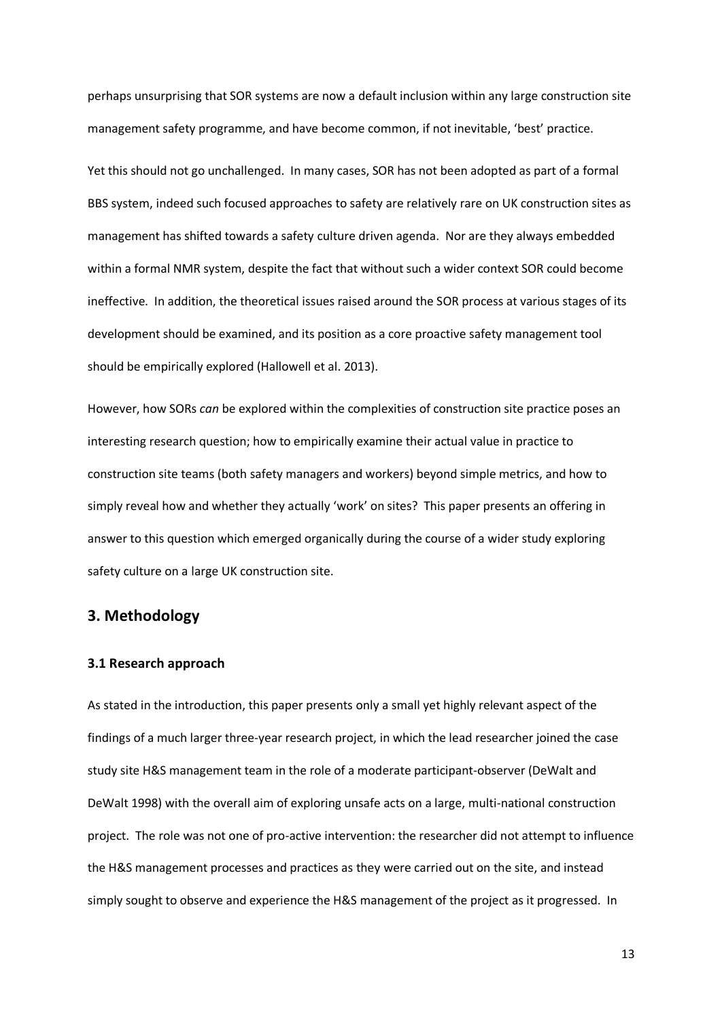perhaps unsurprising that SOR systems are now a default inclusion within any large construction site management safety programme, and have become common, if not inevitable, 'best' practice.

Yet this should not go unchallenged. In many cases, SOR has not been adopted as part of a formal BBS system, indeed such focused approaches to safety are relatively rare on UK construction sites as management has shifted towards a safety culture driven agenda. Nor are they always embedded within a formal NMR system, despite the fact that without such a wider context SOR could become ineffective. In addition, the theoretical issues raised around the SOR process at various stages of its development should be examined, and its position as a core proactive safety management tool should be empirically explored (Hallowell et al. 2013).

However, how SORs *can* be explored within the complexities of construction site practice poses an interesting research question; how to empirically examine their actual value in practice to construction site teams (both safety managers and workers) beyond simple metrics, and how to simply reveal how and whether they actually 'work' on sites? This paper presents an offering in answer to this question which emerged organically during the course of a wider study exploring safety culture on a large UK construction site.

## **3. Methodology**

#### **3.1 Research approach**

As stated in the introduction, this paper presents only a small yet highly relevant aspect of the findings of a much larger three-year research project, in which the lead researcher joined the case study site H&S management team in the role of a moderate participant-observer (DeWalt and DeWalt 1998) with the overall aim of exploring unsafe acts on a large, multi-national construction project. The role was not one of pro-active intervention: the researcher did not attempt to influence the H&S management processes and practices as they were carried out on the site, and instead simply sought to observe and experience the H&S management of the project as it progressed. In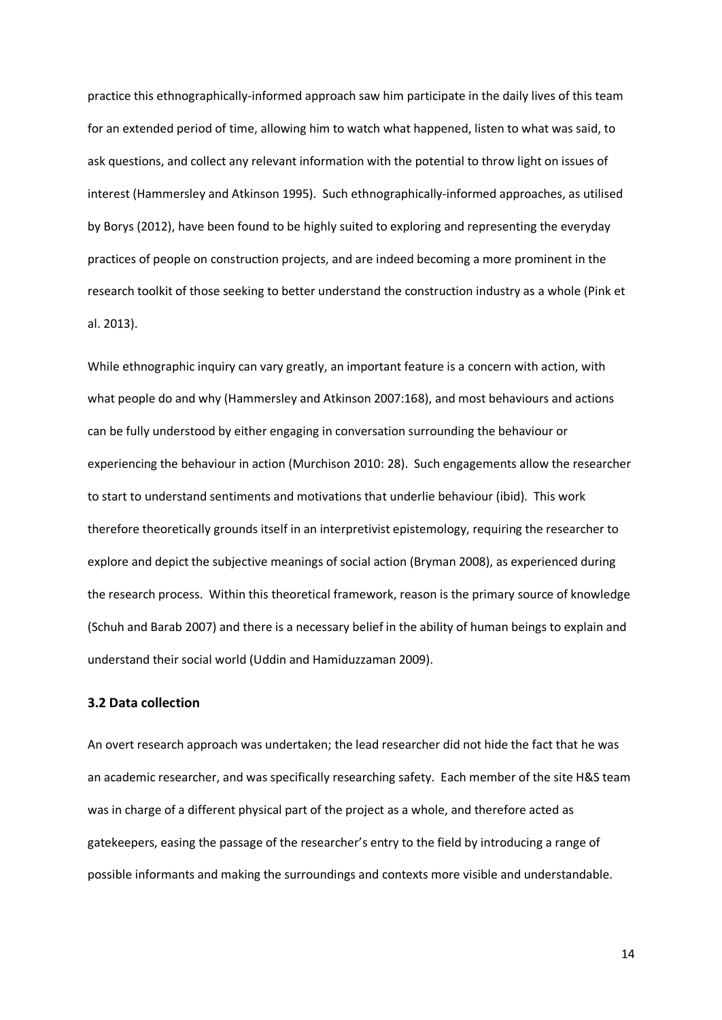practice this ethnographically-informed approach saw him participate in the daily lives of this team for an extended period of time, allowing him to watch what happened, listen to what was said, to ask questions, and collect any relevant information with the potential to throw light on issues of interest (Hammersley and Atkinson 1995). Such ethnographically-informed approaches, as utilised by Borys (2012), have been found to be highly suited to exploring and representing the everyday practices of people on construction projects, and are indeed becoming a more prominent in the research toolkit of those seeking to better understand the construction industry as a whole (Pink et al. 2013).

While ethnographic inquiry can vary greatly, an important feature is a concern with action, with what people do and why (Hammersley and Atkinson 2007:168), and most behaviours and actions can be fully understood by either engaging in conversation surrounding the behaviour or experiencing the behaviour in action (Murchison 2010: 28). Such engagements allow the researcher to start to understand sentiments and motivations that underlie behaviour (ibid). This work therefore theoretically grounds itself in an interpretivist epistemology, requiring the researcher to explore and depict the subjective meanings of social action (Bryman 2008), as experienced during the research process. Within this theoretical framework, reason is the primary source of knowledge (Schuh and Barab 2007) and there is a necessary belief in the ability of human beings to explain and understand their social world (Uddin and Hamiduzzaman 2009).

#### **3.2 Data collection**

An overt research approach was undertaken; the lead researcher did not hide the fact that he was an academic researcher, and was specifically researching safety. Each member of the site H&S team was in charge of a different physical part of the project as a whole, and therefore acted as gatekeepers, easing the passage of the researcher's entry to the field by introducing a range of possible informants and making the surroundings and contexts more visible and understandable.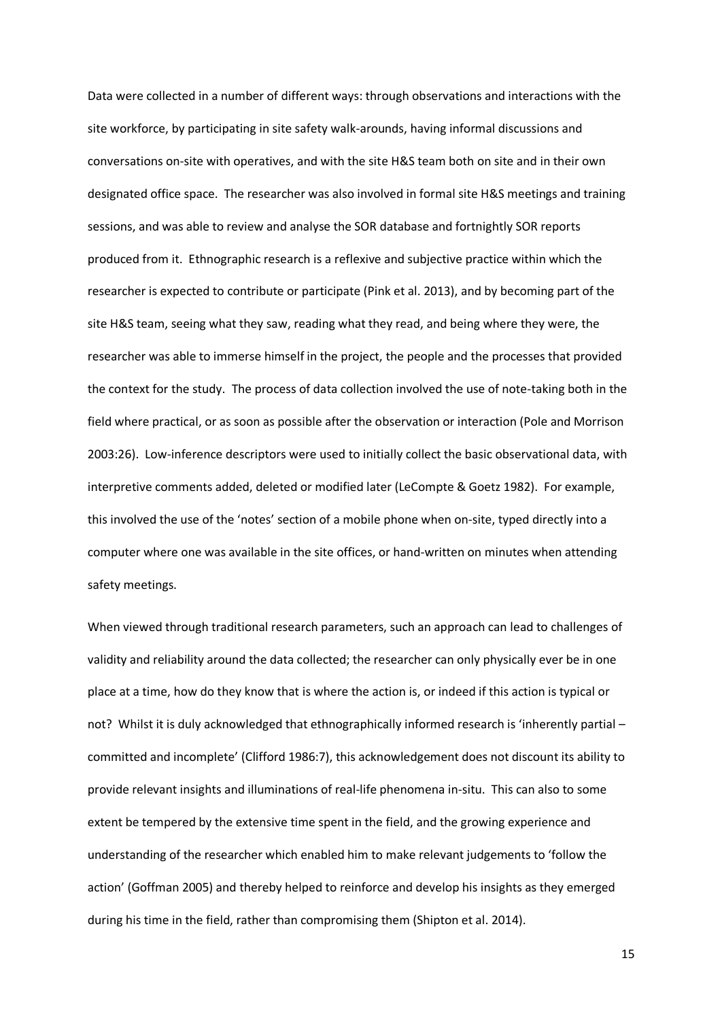Data were collected in a number of different ways: through observations and interactions with the site workforce, by participating in site safety walk-arounds, having informal discussions and conversations on-site with operatives, and with the site H&S team both on site and in their own designated office space. The researcher was also involved in formal site H&S meetings and training sessions, and was able to review and analyse the SOR database and fortnightly SOR reports produced from it. Ethnographic research is a reflexive and subjective practice within which the researcher is expected to contribute or participate (Pink et al. 2013), and by becoming part of the site H&S team, seeing what they saw, reading what they read, and being where they were, the researcher was able to immerse himself in the project, the people and the processes that provided the context for the study. The process of data collection involved the use of note-taking both in the field where practical, or as soon as possible after the observation or interaction (Pole and Morrison 2003:26). Low-inference descriptors were used to initially collect the basic observational data, with interpretive comments added, deleted or modified later (LeCompte & Goetz 1982). For example, this involved the use of the 'notes' section of a mobile phone when on-site, typed directly into a computer where one was available in the site offices, or hand-written on minutes when attending safety meetings.

When viewed through traditional research parameters, such an approach can lead to challenges of validity and reliability around the data collected; the researcher can only physically ever be in one place at a time, how do they know that is where the action is, or indeed if this action is typical or not? Whilst it is duly acknowledged that ethnographically informed research is 'inherently partial – committed and incomplete' (Clifford 1986:7), this acknowledgement does not discount its ability to provide relevant insights and illuminations of real-life phenomena in-situ. This can also to some extent be tempered by the extensive time spent in the field, and the growing experience and understanding of the researcher which enabled him to make relevant judgements to 'follow the action' (Goffman 2005) and thereby helped to reinforce and develop his insights as they emerged during his time in the field, rather than compromising them (Shipton et al. 2014).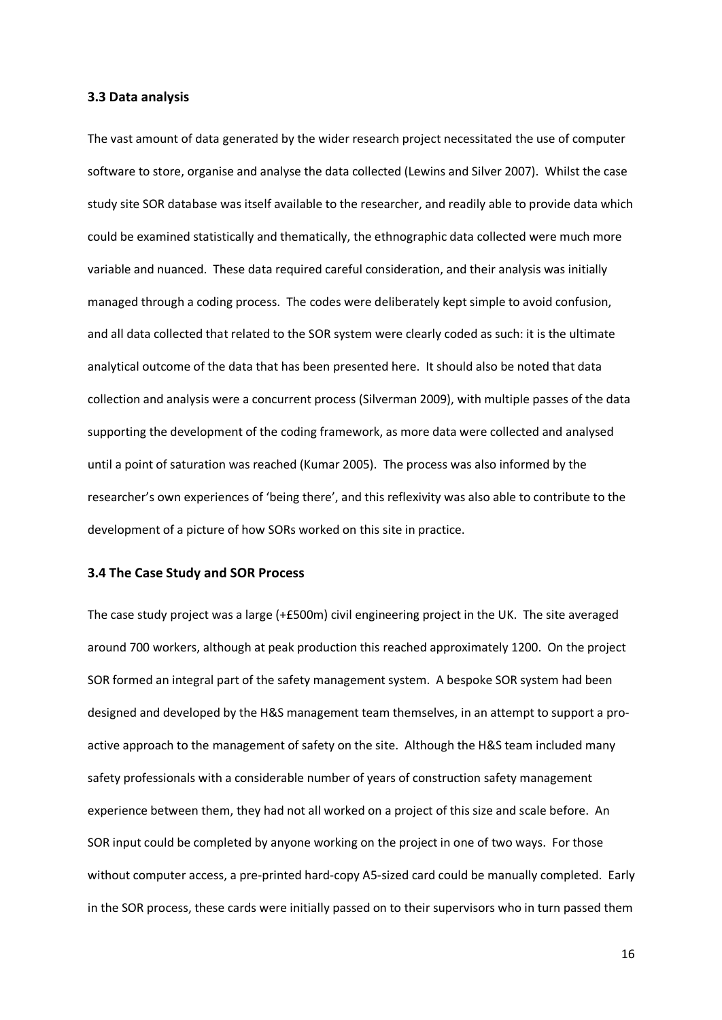#### **3.3 Data analysis**

The vast amount of data generated by the wider research project necessitated the use of computer software to store, organise and analyse the data collected (Lewins and Silver 2007). Whilst the case study site SOR database was itself available to the researcher, and readily able to provide data which could be examined statistically and thematically, the ethnographic data collected were much more variable and nuanced. These data required careful consideration, and their analysis was initially managed through a coding process. The codes were deliberately kept simple to avoid confusion, and all data collected that related to the SOR system were clearly coded as such: it is the ultimate analytical outcome of the data that has been presented here. It should also be noted that data collection and analysis were a concurrent process (Silverman 2009), with multiple passes of the data supporting the development of the coding framework, as more data were collected and analysed until a point of saturation was reached (Kumar 2005). The process was also informed by the researcher's own experiences of 'being there', and this reflexivity was also able to contribute to the development of a picture of how SORs worked on this site in practice.

#### **3.4 The Case Study and SOR Process**

The case study project was a large (+£500m) civil engineering project in the UK. The site averaged around 700 workers, although at peak production this reached approximately 1200. On the project SOR formed an integral part of the safety management system. A bespoke SOR system had been designed and developed by the H&S management team themselves, in an attempt to support a proactive approach to the management of safety on the site. Although the H&S team included many safety professionals with a considerable number of years of construction safety management experience between them, they had not all worked on a project of this size and scale before. An SOR input could be completed by anyone working on the project in one of two ways. For those without computer access, a pre-printed hard-copy A5-sized card could be manually completed. Early in the SOR process, these cards were initially passed on to their supervisors who in turn passed them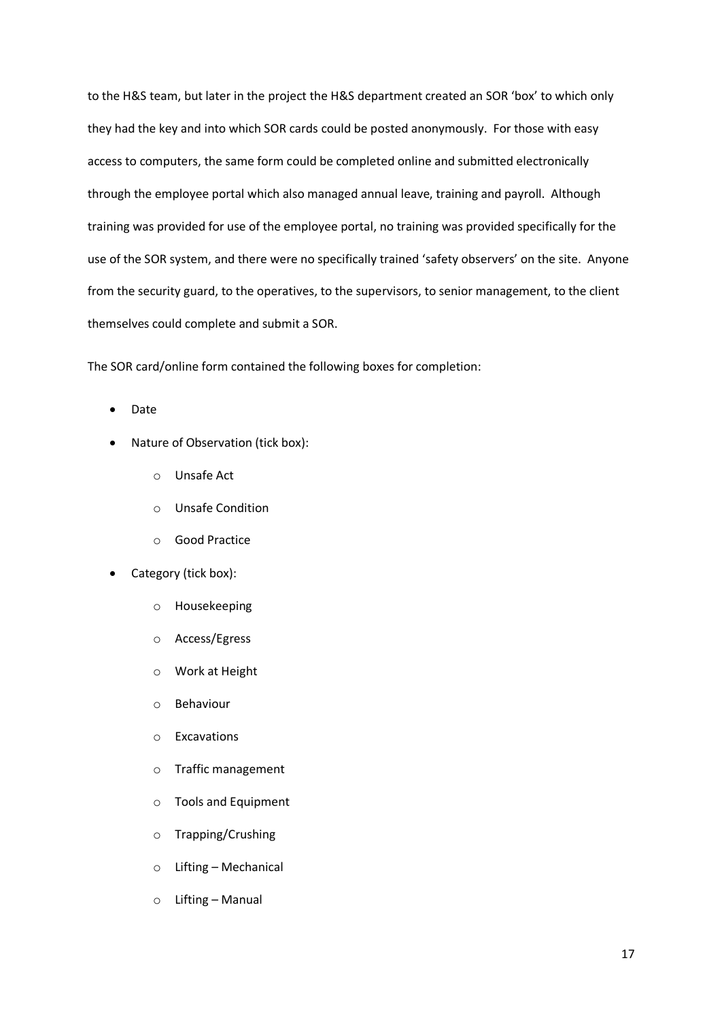to the H&S team, but later in the project the H&S department created an SOR 'box' to which only they had the key and into which SOR cards could be posted anonymously. For those with easy access to computers, the same form could be completed online and submitted electronically through the employee portal which also managed annual leave, training and payroll. Although training was provided for use of the employee portal, no training was provided specifically for the use of the SOR system, and there were no specifically trained 'safety observers' on the site. Anyone from the security guard, to the operatives, to the supervisors, to senior management, to the client themselves could complete and submit a SOR.

The SOR card/online form contained the following boxes for completion:

- Date
- Nature of Observation (tick box):
	- o Unsafe Act
	- o Unsafe Condition
	- o Good Practice
- Category (tick box):
	- o Housekeeping
	- o Access/Egress
	- o Work at Height
	- o Behaviour
	- o Excavations
	- o Traffic management
	- o Tools and Equipment
	- o Trapping/Crushing
	- o Lifting Mechanical
	- o Lifting Manual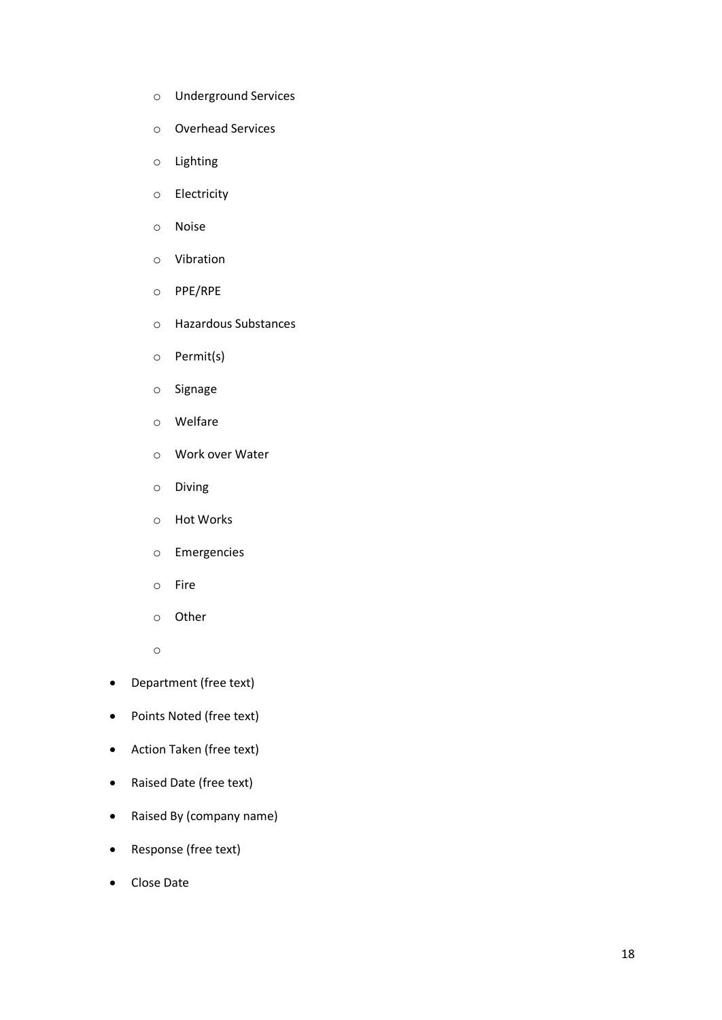- o Underground Services
- o Overhead Services
- o Lighting
- o Electricity
- o Noise
- o Vibration
- o PPE/RPE
- o Hazardous Substances
- o Permit(s)
- o Signage
- o Welfare
- o Work over Water
- o Diving
- o Hot Works
- o Emergencies
- o Fire
- o Other
- o
- Department (free text)
- Points Noted (free text)
- Action Taken (free text)
- Raised Date (free text)
- Raised By (company name)
- Response (free text)
- Close Date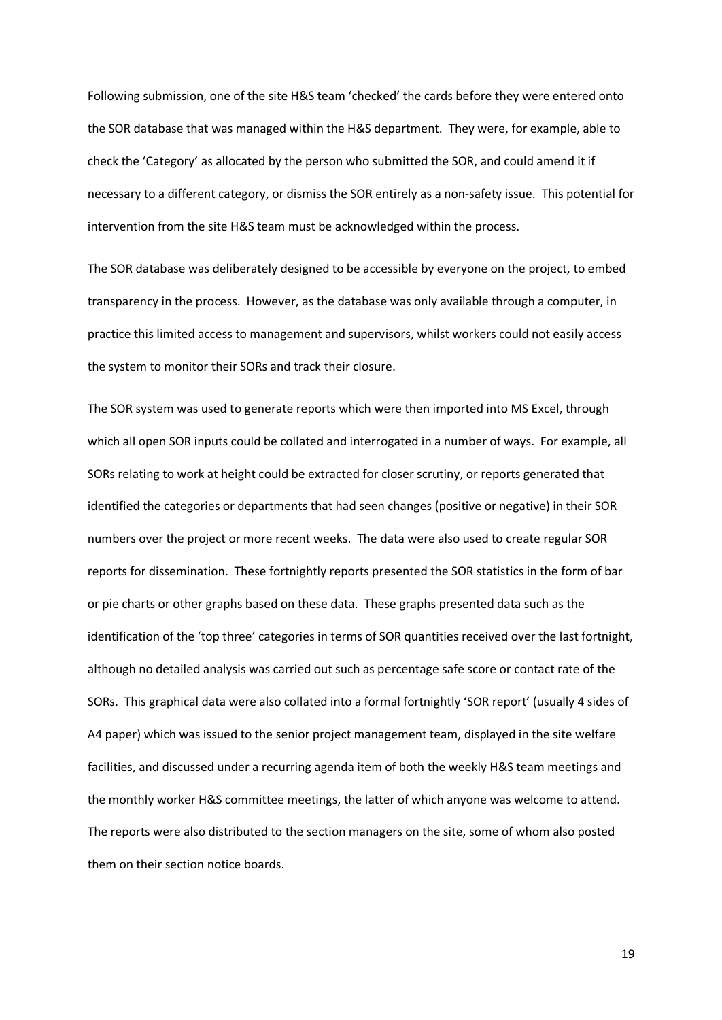Following submission, one of the site H&S team 'checked' the cards before they were entered onto the SOR database that was managed within the H&S department. They were, for example, able to check the 'Category' as allocated by the person who submitted the SOR, and could amend it if necessary to a different category, or dismiss the SOR entirely as a non-safety issue. This potential for intervention from the site H&S team must be acknowledged within the process.

The SOR database was deliberately designed to be accessible by everyone on the project, to embed transparency in the process. However, as the database was only available through a computer, in practice this limited access to management and supervisors, whilst workers could not easily access the system to monitor their SORs and track their closure.

The SOR system was used to generate reports which were then imported into MS Excel, through which all open SOR inputs could be collated and interrogated in a number of ways. For example, all SORs relating to work at height could be extracted for closer scrutiny, or reports generated that identified the categories or departments that had seen changes (positive or negative) in their SOR numbers over the project or more recent weeks. The data were also used to create regular SOR reports for dissemination. These fortnightly reports presented the SOR statistics in the form of bar or pie charts or other graphs based on these data. These graphs presented data such as the identification of the 'top three' categories in terms of SOR quantities received over the last fortnight, although no detailed analysis was carried out such as percentage safe score or contact rate of the SORs. This graphical data were also collated into a formal fortnightly 'SOR report' (usually 4 sides of A4 paper) which was issued to the senior project management team, displayed in the site welfare facilities, and discussed under a recurring agenda item of both the weekly H&S team meetings and the monthly worker H&S committee meetings, the latter of which anyone was welcome to attend. The reports were also distributed to the section managers on the site, some of whom also posted them on their section notice boards.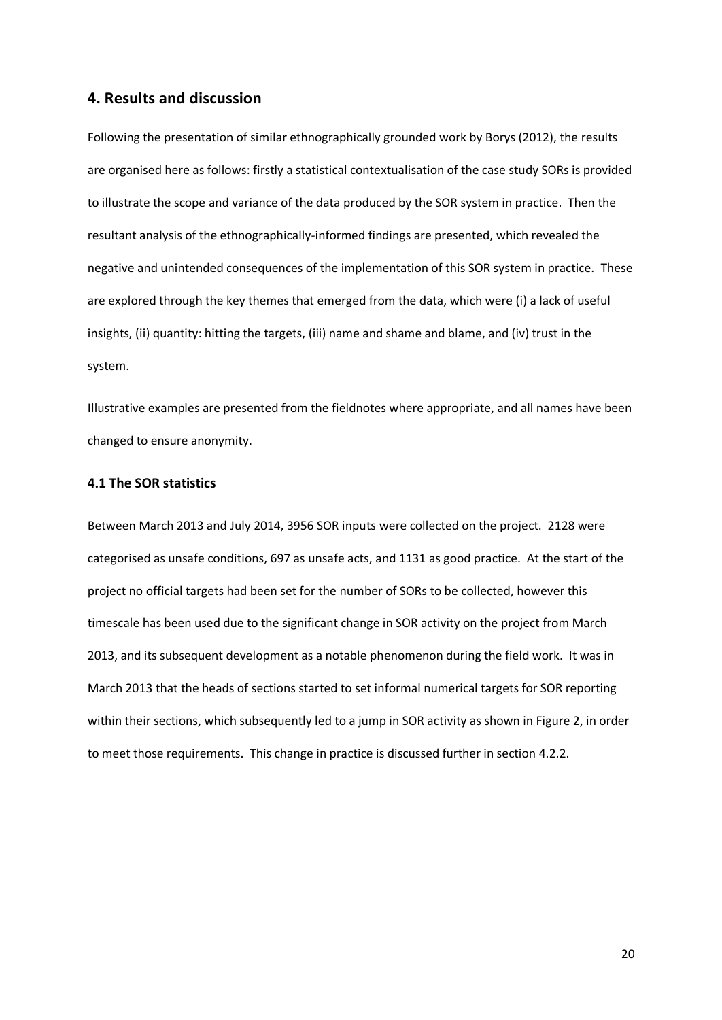## **4. Results and discussion**

Following the presentation of similar ethnographically grounded work by Borys (2012), the results are organised here as follows: firstly a statistical contextualisation of the case study SORs is provided to illustrate the scope and variance of the data produced by the SOR system in practice. Then the resultant analysis of the ethnographically-informed findings are presented, which revealed the negative and unintended consequences of the implementation of this SOR system in practice. These are explored through the key themes that emerged from the data, which were (i) a lack of useful insights, (ii) quantity: hitting the targets, (iii) name and shame and blame, and (iv) trust in the system.

Illustrative examples are presented from the fieldnotes where appropriate, and all names have been changed to ensure anonymity.

#### **4.1 The SOR statistics**

Between March 2013 and July 2014, 3956 SOR inputs were collected on the project. 2128 were categorised as unsafe conditions, 697 as unsafe acts, and 1131 as good practice. At the start of the project no official targets had been set for the number of SORs to be collected, however this timescale has been used due to the significant change in SOR activity on the project from March 2013, and its subsequent development as a notable phenomenon during the field work. It was in March 2013 that the heads of sections started to set informal numerical targets for SOR reporting within their sections, which subsequently led to a jump in SOR activity as shown in Figure 2, in order to meet those requirements. This change in practice is discussed further in section 4.2.2.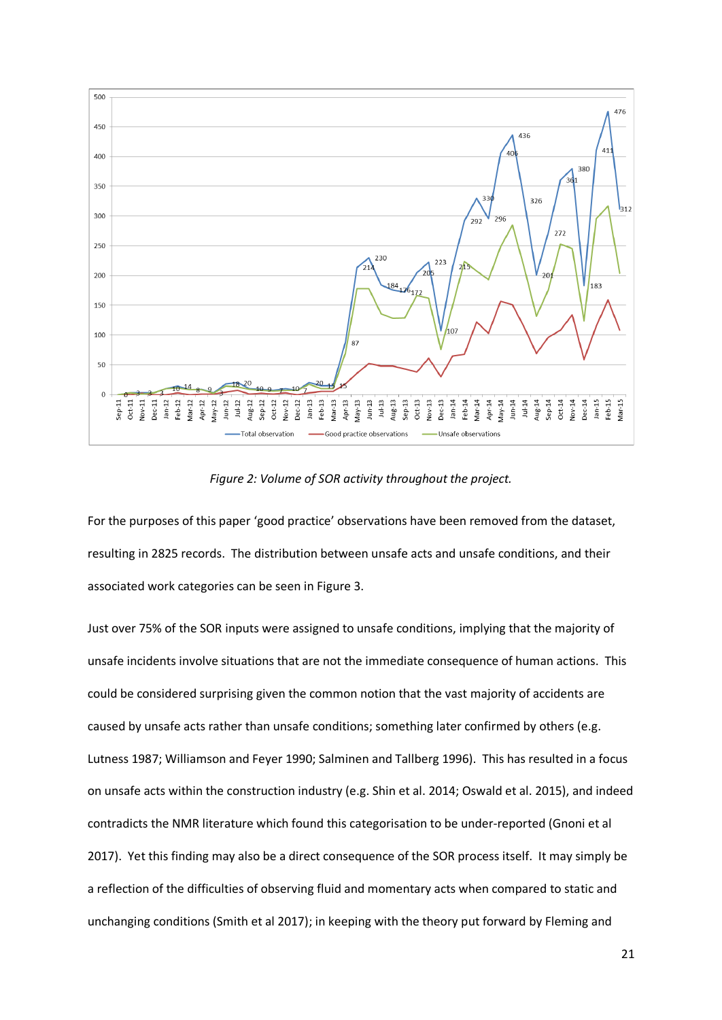

*Figure 2: Volume of SOR activity throughout the project.*

For the purposes of this paper 'good practice' observations have been removed from the dataset, resulting in 2825 records. The distribution between unsafe acts and unsafe conditions, and their associated work categories can be seen in Figure 3.

Just over 75% of the SOR inputs were assigned to unsafe conditions, implying that the majority of unsafe incidents involve situations that are not the immediate consequence of human actions. This could be considered surprising given the common notion that the vast majority of accidents are caused by unsafe acts rather than unsafe conditions; something later confirmed by others (e.g. Lutness 1987; Williamson and Feyer 1990; Salminen and Tallberg 1996). This has resulted in a focus on unsafe acts within the construction industry (e.g. Shin et al. 2014; Oswald et al. 2015), and indeed contradicts the NMR literature which found this categorisation to be under-reported (Gnoni et al 2017). Yet this finding may also be a direct consequence of the SOR process itself. It may simply be a reflection of the difficulties of observing fluid and momentary acts when compared to static and unchanging conditions (Smith et al 2017); in keeping with the theory put forward by Fleming and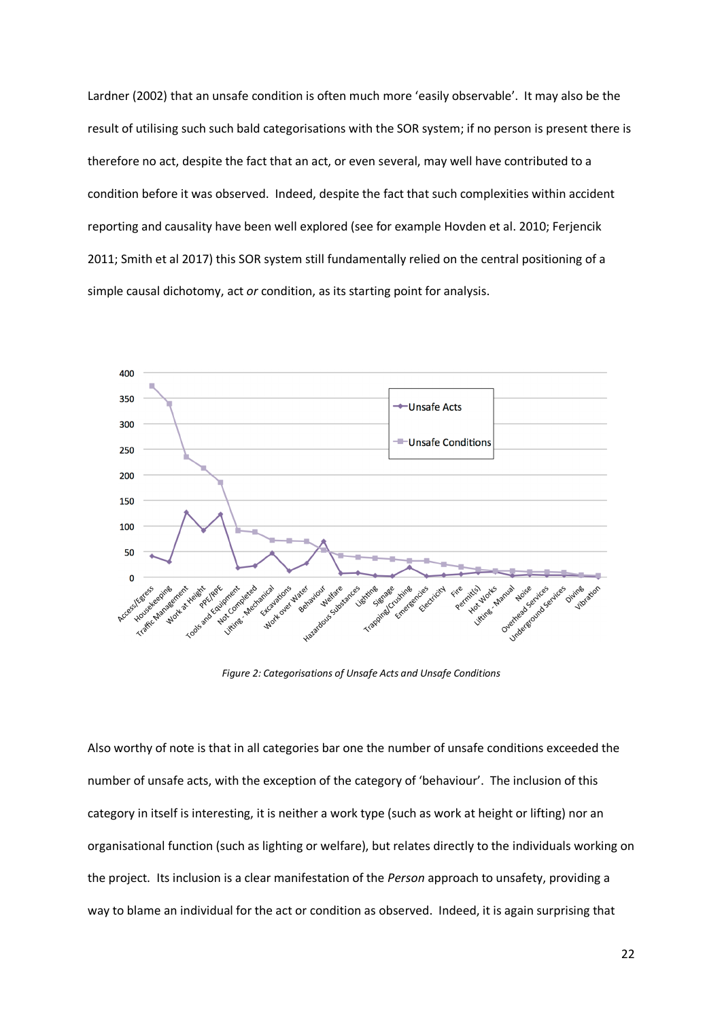Lardner (2002) that an unsafe condition is often much more 'easily observable'. It may also be the result of utilising such such bald categorisations with the SOR system; if no person is present there is therefore no act, despite the fact that an act, or even several, may well have contributed to a condition before it was observed. Indeed, despite the fact that such complexities within accident reporting and causality have been well explored (see for example Hovden et al. 2010; Ferjencik 2011; Smith et al 2017) this SOR system still fundamentally relied on the central positioning of a simple causal dichotomy, act *or* condition, as its starting point for analysis.



*Figure 2: Categorisations of Unsafe Acts and Unsafe Conditions*

Also worthy of note is that in all categories bar one the number of unsafe conditions exceeded the number of unsafe acts, with the exception of the category of 'behaviour'. The inclusion of this category in itself is interesting, it is neither a work type (such as work at height or lifting) nor an organisational function (such as lighting or welfare), but relates directly to the individuals working on the project. Its inclusion is a clear manifestation of the *Person* approach to unsafety, providing a way to blame an individual for the act or condition as observed. Indeed, it is again surprising that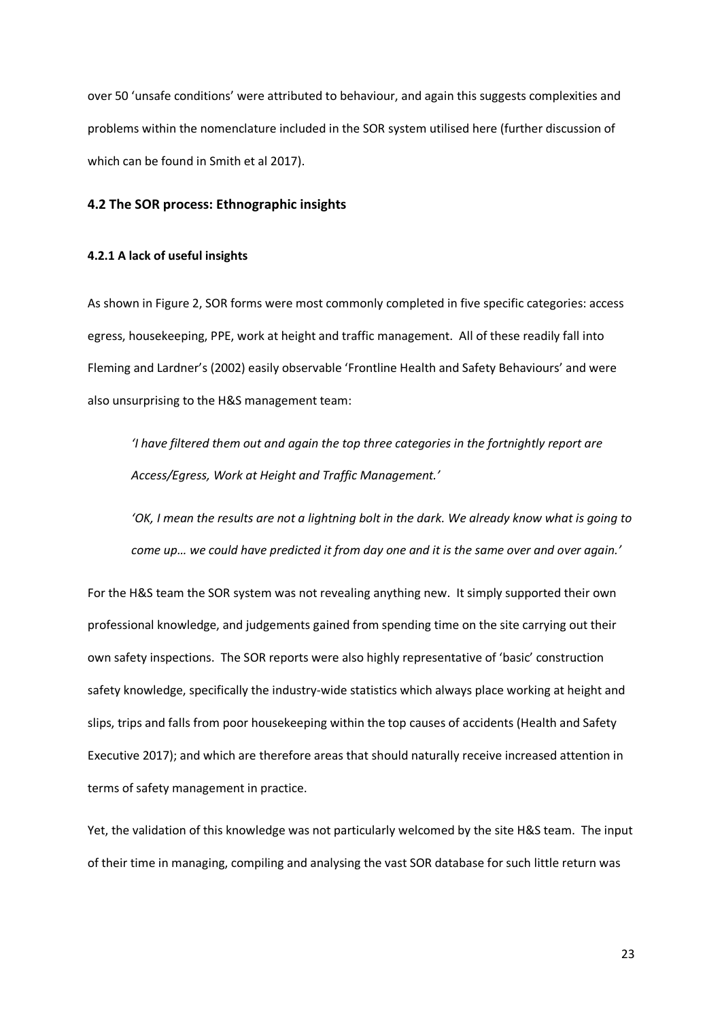over 50 'unsafe conditions' were attributed to behaviour, and again this suggests complexities and problems within the nomenclature included in the SOR system utilised here (further discussion of which can be found in Smith et al 2017).

#### **4.2 The SOR process: Ethnographic insights**

#### **4.2.1 A lack of useful insights**

As shown in Figure 2, SOR forms were most commonly completed in five specific categories: access egress, housekeeping, PPE, work at height and traffic management. All of these readily fall into Fleming and Lardner's (2002) easily observable 'Frontline Health and Safety Behaviours' and were also unsurprising to the H&S management team:

*'I have filtered them out and again the top three categories in the fortnightly report are Access/Egress, Work at Height and Traffic Management.'*

*'OK, I mean the results are not a lightning bolt in the dark. We already know what is going to come up… we could have predicted it from day one and it is the same over and over again.'*

For the H&S team the SOR system was not revealing anything new. It simply supported their own professional knowledge, and judgements gained from spending time on the site carrying out their own safety inspections. The SOR reports were also highly representative of 'basic' construction safety knowledge, specifically the industry-wide statistics which always place working at height and slips, trips and falls from poor housekeeping within the top causes of accidents (Health and Safety Executive 2017); and which are therefore areas that should naturally receive increased attention in terms of safety management in practice.

Yet, the validation of this knowledge was not particularly welcomed by the site H&S team. The input of their time in managing, compiling and analysing the vast SOR database for such little return was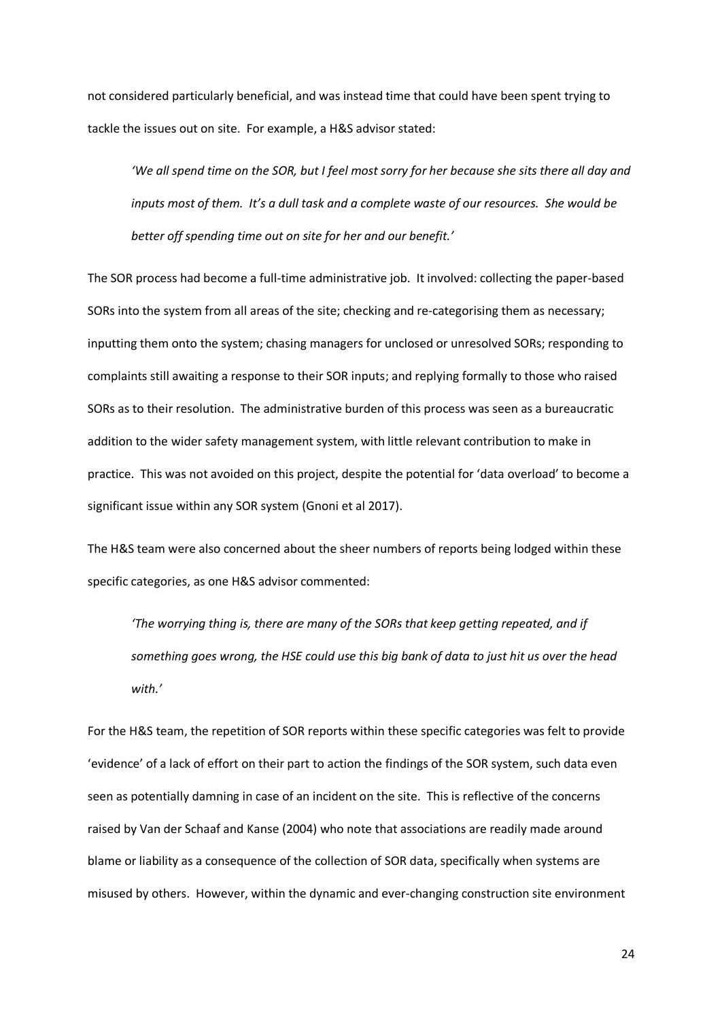not considered particularly beneficial, and was instead time that could have been spent trying to tackle the issues out on site. For example, a H&S advisor stated:

*'We all spend time on the SOR, but I feel most sorry for her because she sits there all day and inputs most of them. It's a dull task and a complete waste of our resources. She would be better off spending time out on site for her and our benefit.'*

The SOR process had become a full-time administrative job. It involved: collecting the paper-based SORs into the system from all areas of the site; checking and re-categorising them as necessary; inputting them onto the system; chasing managers for unclosed or unresolved SORs; responding to complaints still awaiting a response to their SOR inputs; and replying formally to those who raised SORs as to their resolution. The administrative burden of this process was seen as a bureaucratic addition to the wider safety management system, with little relevant contribution to make in practice. This was not avoided on this project, despite the potential for 'data overload' to become a significant issue within any SOR system (Gnoni et al 2017).

The H&S team were also concerned about the sheer numbers of reports being lodged within these specific categories, as one H&S advisor commented:

*'The worrying thing is, there are many of the SORs that keep getting repeated, and if something goes wrong, the HSE could use this big bank of data to just hit us over the head with.'*

For the H&S team, the repetition of SOR reports within these specific categories was felt to provide 'evidence' of a lack of effort on their part to action the findings of the SOR system, such data even seen as potentially damning in case of an incident on the site. This is reflective of the concerns raised by Van der Schaaf and Kanse (2004) who note that associations are readily made around blame or liability as a consequence of the collection of SOR data, specifically when systems are misused by others. However, within the dynamic and ever-changing construction site environment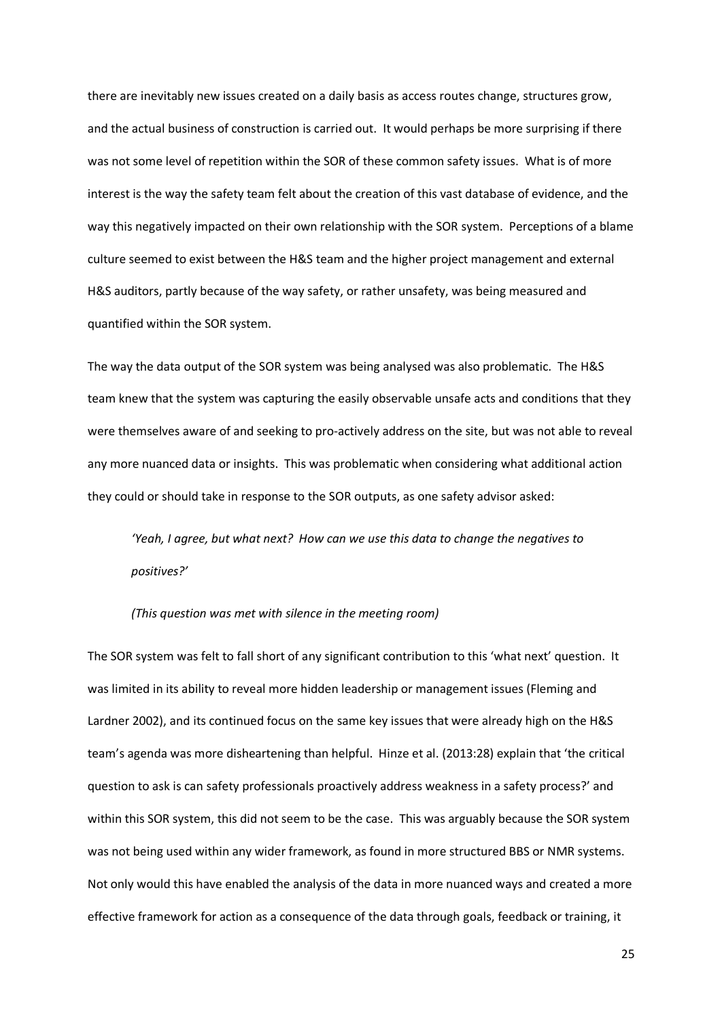there are inevitably new issues created on a daily basis as access routes change, structures grow, and the actual business of construction is carried out. It would perhaps be more surprising if there was not some level of repetition within the SOR of these common safety issues. What is of more interest is the way the safety team felt about the creation of this vast database of evidence, and the way this negatively impacted on their own relationship with the SOR system. Perceptions of a blame culture seemed to exist between the H&S team and the higher project management and external H&S auditors, partly because of the way safety, or rather unsafety, was being measured and quantified within the SOR system.

The way the data output of the SOR system was being analysed was also problematic. The H&S team knew that the system was capturing the easily observable unsafe acts and conditions that they were themselves aware of and seeking to pro-actively address on the site, but was not able to reveal any more nuanced data or insights. This was problematic when considering what additional action they could or should take in response to the SOR outputs, as one safety advisor asked:

*'Yeah, I agree, but what next? How can we use this data to change the negatives to positives?'*

#### *(This question was met with silence in the meeting room)*

The SOR system was felt to fall short of any significant contribution to this 'what next' question. It was limited in its ability to reveal more hidden leadership or management issues (Fleming and Lardner 2002), and its continued focus on the same key issues that were already high on the H&S team's agenda was more disheartening than helpful. Hinze et al. (2013:28) explain that 'the critical question to ask is can safety professionals proactively address weakness in a safety process?' and within this SOR system, this did not seem to be the case. This was arguably because the SOR system was not being used within any wider framework, as found in more structured BBS or NMR systems. Not only would this have enabled the analysis of the data in more nuanced ways and created a more effective framework for action as a consequence of the data through goals, feedback or training, it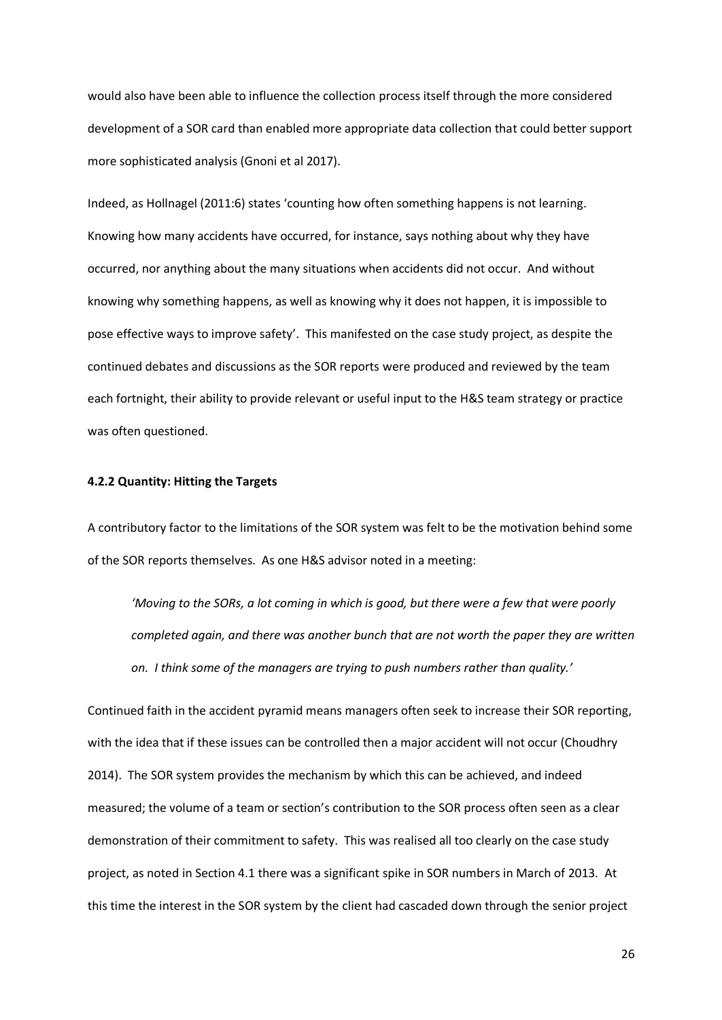would also have been able to influence the collection process itself through the more considered development of a SOR card than enabled more appropriate data collection that could better support more sophisticated analysis (Gnoni et al 2017).

Indeed, as Hollnagel (2011:6) states 'counting how often something happens is not learning. Knowing how many accidents have occurred, for instance, says nothing about why they have occurred, nor anything about the many situations when accidents did not occur. And without knowing why something happens, as well as knowing why it does not happen, it is impossible to pose effective ways to improve safety'. This manifested on the case study project, as despite the continued debates and discussions as the SOR reports were produced and reviewed by the team each fortnight, their ability to provide relevant or useful input to the H&S team strategy or practice was often questioned.

#### **4.2.2 Quantity: Hitting the Targets**

A contributory factor to the limitations of the SOR system was felt to be the motivation behind some of the SOR reports themselves. As one H&S advisor noted in a meeting:

*'Moving to the SORs, a lot coming in which is good, but there were a few that were poorly completed again, and there was another bunch that are not worth the paper they are written on. I think some of the managers are trying to push numbers rather than quality.'*

Continued faith in the accident pyramid means managers often seek to increase their SOR reporting, with the idea that if these issues can be controlled then a major accident will not occur (Choudhry 2014). The SOR system provides the mechanism by which this can be achieved, and indeed measured; the volume of a team or section's contribution to the SOR process often seen as a clear demonstration of their commitment to safety. This was realised all too clearly on the case study project, as noted in Section 4.1 there was a significant spike in SOR numbers in March of 2013. At this time the interest in the SOR system by the client had cascaded down through the senior project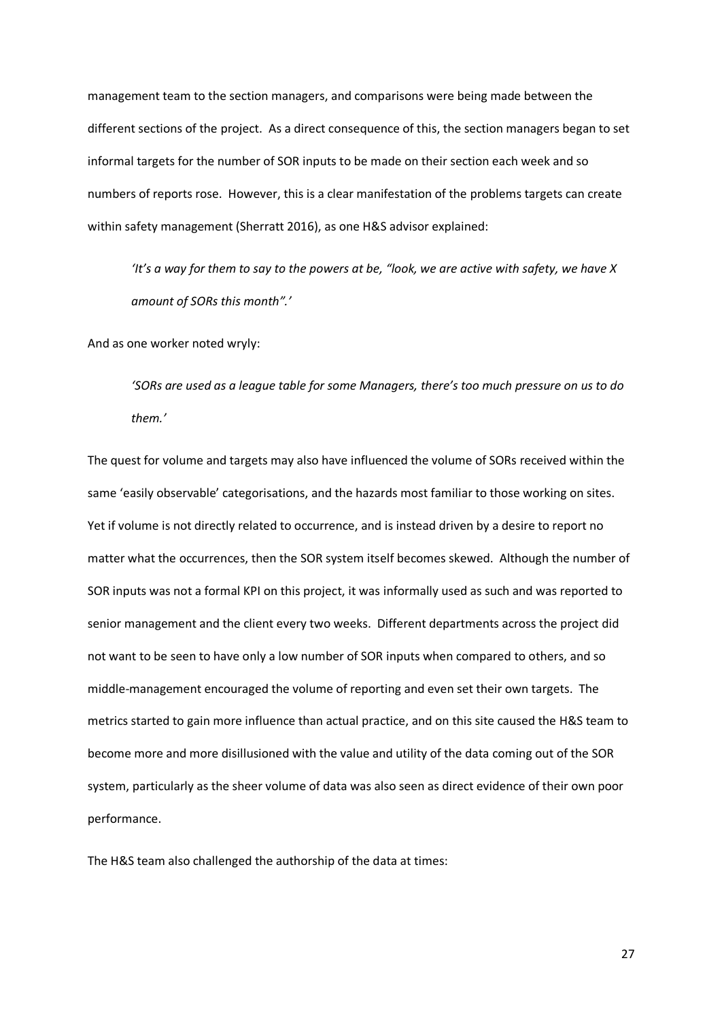management team to the section managers, and comparisons were being made between the different sections of the project. As a direct consequence of this, the section managers began to set informal targets for the number of SOR inputs to be made on their section each week and so numbers of reports rose. However, this is a clear manifestation of the problems targets can create within safety management (Sherratt 2016), as one H&S advisor explained:

*'It's a way for them to say to the powers at be, "look, we are active with safety, we have X amount of SORs this month".'*

And as one worker noted wryly:

*'SORs are used as a league table for some Managers, there's too much pressure on us to do them.'*

The quest for volume and targets may also have influenced the volume of SORs received within the same 'easily observable' categorisations, and the hazards most familiar to those working on sites. Yet if volume is not directly related to occurrence, and is instead driven by a desire to report no matter what the occurrences, then the SOR system itself becomes skewed. Although the number of SOR inputs was not a formal KPI on this project, it was informally used as such and was reported to senior management and the client every two weeks. Different departments across the project did not want to be seen to have only a low number of SOR inputs when compared to others, and so middle-management encouraged the volume of reporting and even set their own targets. The metrics started to gain more influence than actual practice, and on this site caused the H&S team to become more and more disillusioned with the value and utility of the data coming out of the SOR system, particularly as the sheer volume of data was also seen as direct evidence of their own poor performance.

The H&S team also challenged the authorship of the data at times: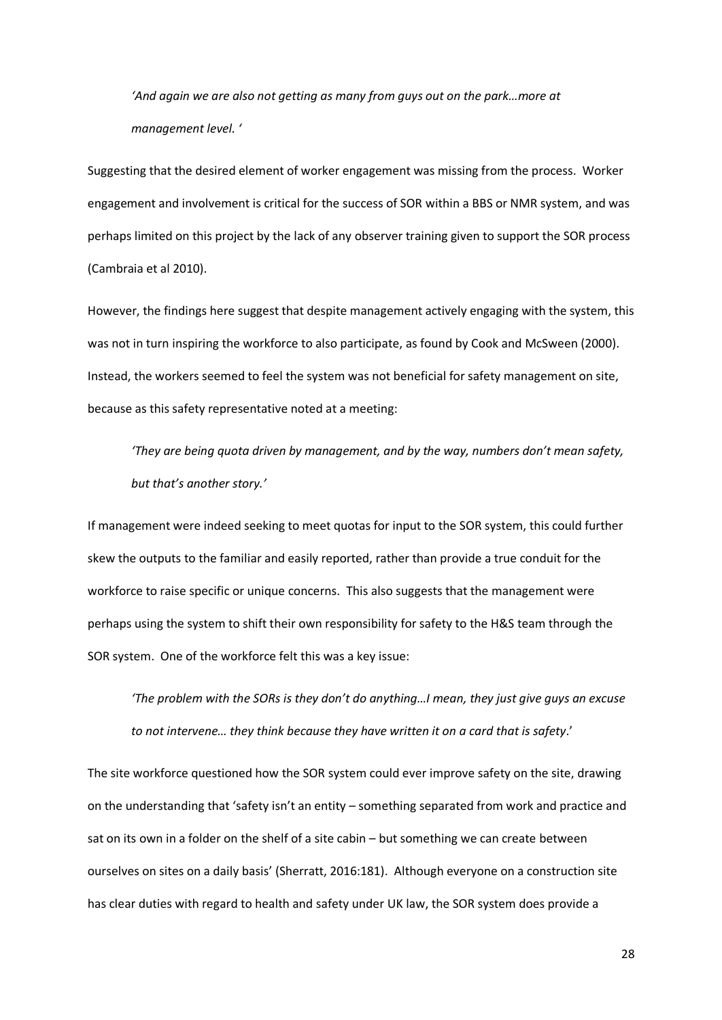*'And again we are also not getting as many from guys out on the park…more at management level. '*

Suggesting that the desired element of worker engagement was missing from the process. Worker engagement and involvement is critical for the success of SOR within a BBS or NMR system, and was perhaps limited on this project by the lack of any observer training given to support the SOR process (Cambraia et al 2010).

However, the findings here suggest that despite management actively engaging with the system, this was not in turn inspiring the workforce to also participate, as found by Cook and McSween (2000). Instead, the workers seemed to feel the system was not beneficial for safety management on site, because as this safety representative noted at a meeting:

*'They are being quota driven by management, and by the way, numbers don't mean safety, but that's another story.'*

If management were indeed seeking to meet quotas for input to the SOR system, this could further skew the outputs to the familiar and easily reported, rather than provide a true conduit for the workforce to raise specific or unique concerns. This also suggests that the management were perhaps using the system to shift their own responsibility for safety to the H&S team through the SOR system. One of the workforce felt this was a key issue:

*'The problem with the SORs is they don't do anything…I mean, they just give guys an excuse to not intervene… they think because they have written it on a card that is safety*.'

The site workforce questioned how the SOR system could ever improve safety on the site, drawing on the understanding that 'safety isn't an entity – something separated from work and practice and sat on its own in a folder on the shelf of a site cabin – but something we can create between ourselves on sites on a daily basis' (Sherratt, 2016:181). Although everyone on a construction site has clear duties with regard to health and safety under UK law, the SOR system does provide a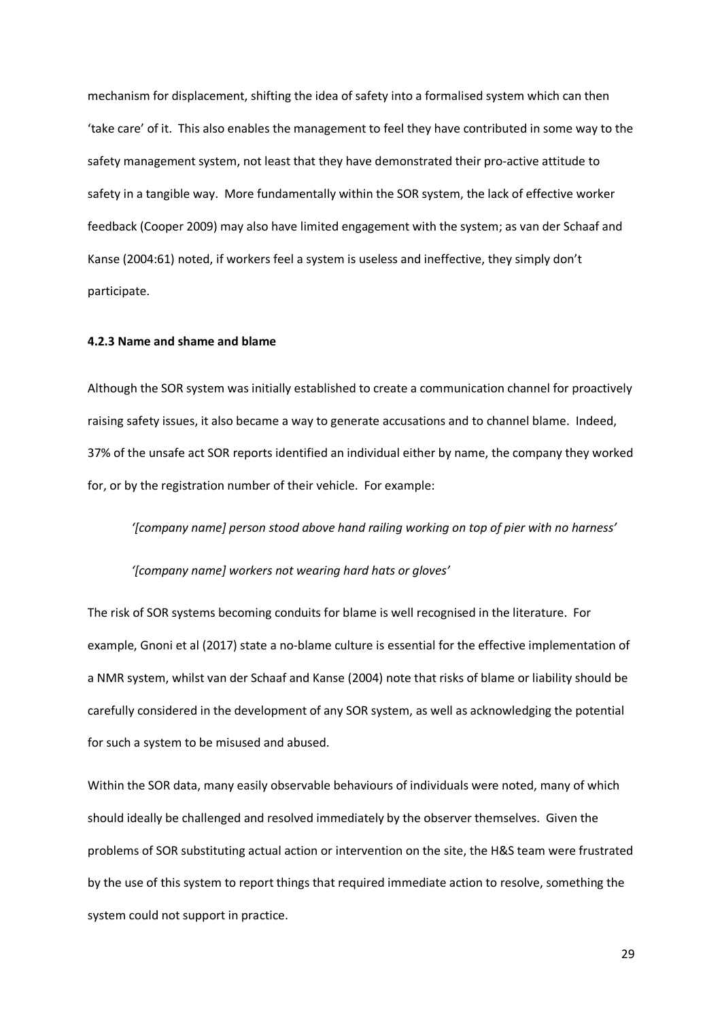mechanism for displacement, shifting the idea of safety into a formalised system which can then 'take care' of it. This also enables the management to feel they have contributed in some way to the safety management system, not least that they have demonstrated their pro-active attitude to safety in a tangible way. More fundamentally within the SOR system, the lack of effective worker feedback (Cooper 2009) may also have limited engagement with the system; as van der Schaaf and Kanse (2004:61) noted, if workers feel a system is useless and ineffective, they simply don't participate.

#### **4.2.3 Name and shame and blame**

Although the SOR system was initially established to create a communication channel for proactively raising safety issues, it also became a way to generate accusations and to channel blame. Indeed, 37% of the unsafe act SOR reports identified an individual either by name, the company they worked for, or by the registration number of their vehicle. For example:

*'[company name] person stood above hand railing working on top of pier with no harness'*

*'[company name] workers not wearing hard hats or gloves'*

The risk of SOR systems becoming conduits for blame is well recognised in the literature. For example, Gnoni et al (2017) state a no-blame culture is essential for the effective implementation of a NMR system, whilst van der Schaaf and Kanse (2004) note that risks of blame or liability should be carefully considered in the development of any SOR system, as well as acknowledging the potential for such a system to be misused and abused.

Within the SOR data, many easily observable behaviours of individuals were noted, many of which should ideally be challenged and resolved immediately by the observer themselves. Given the problems of SOR substituting actual action or intervention on the site, the H&S team were frustrated by the use of this system to report things that required immediate action to resolve, something the system could not support in practice.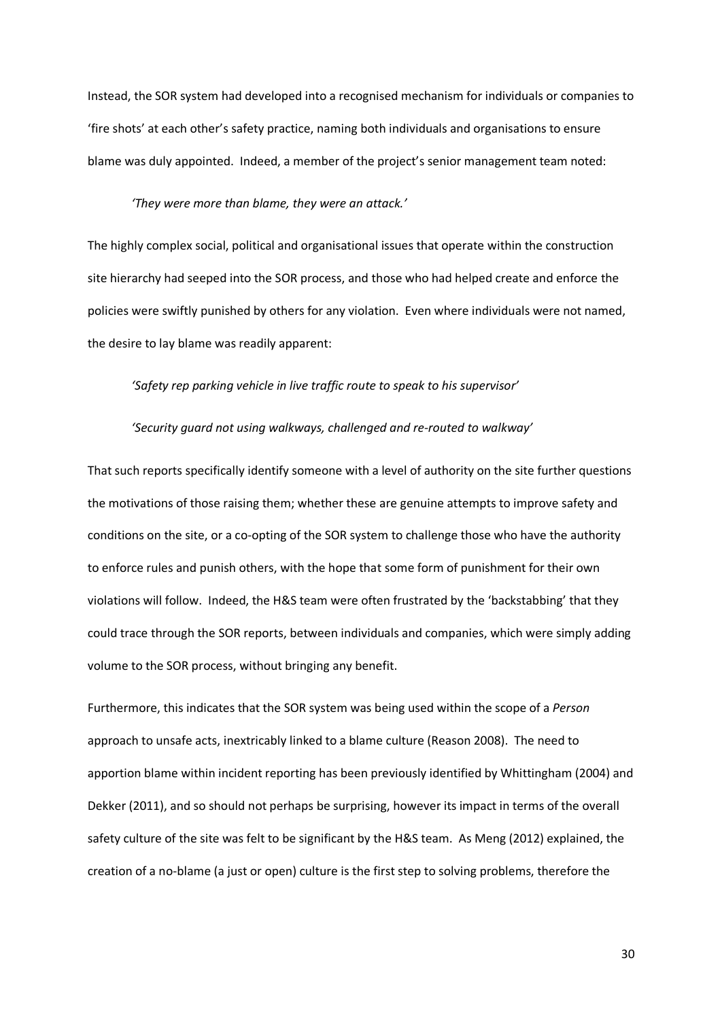Instead, the SOR system had developed into a recognised mechanism for individuals or companies to 'fire shots' at each other's safety practice, naming both individuals and organisations to ensure blame was duly appointed. Indeed, a member of the project's senior management team noted:

#### *'They were more than blame, they were an attack.'*

The highly complex social, political and organisational issues that operate within the construction site hierarchy had seeped into the SOR process, and those who had helped create and enforce the policies were swiftly punished by others for any violation. Even where individuals were not named, the desire to lay blame was readily apparent:

#### *'Safety rep parking vehicle in live traffic route to speak to his supervisor'*

#### *'Security guard not using walkways, challenged and re-routed to walkway'*

That such reports specifically identify someone with a level of authority on the site further questions the motivations of those raising them; whether these are genuine attempts to improve safety and conditions on the site, or a co-opting of the SOR system to challenge those who have the authority to enforce rules and punish others, with the hope that some form of punishment for their own violations will follow. Indeed, the H&S team were often frustrated by the 'backstabbing' that they could trace through the SOR reports, between individuals and companies, which were simply adding volume to the SOR process, without bringing any benefit.

Furthermore, this indicates that the SOR system was being used within the scope of a *Person* approach to unsafe acts, inextricably linked to a blame culture (Reason 2008). The need to apportion blame within incident reporting has been previously identified by Whittingham (2004) and Dekker (2011), and so should not perhaps be surprising, however its impact in terms of the overall safety culture of the site was felt to be significant by the H&S team. As Meng (2012) explained, the creation of a no-blame (a just or open) culture is the first step to solving problems, therefore the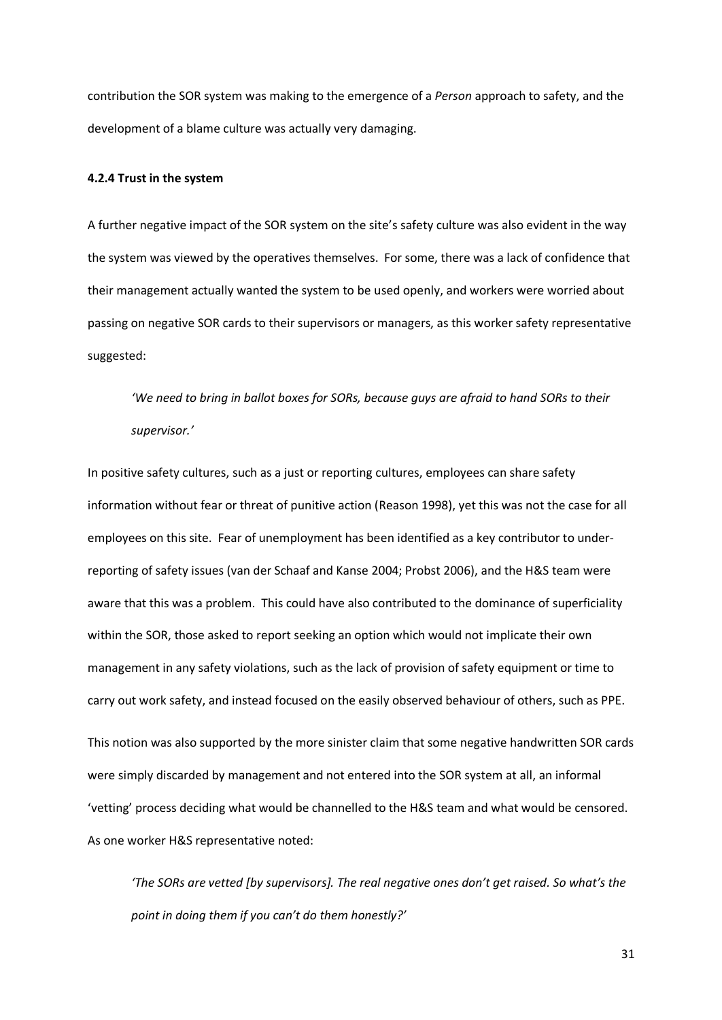contribution the SOR system was making to the emergence of a *Person* approach to safety, and the development of a blame culture was actually very damaging.

#### **4.2.4 Trust in the system**

A further negative impact of the SOR system on the site's safety culture was also evident in the way the system was viewed by the operatives themselves. For some, there was a lack of confidence that their management actually wanted the system to be used openly, and workers were worried about passing on negative SOR cards to their supervisors or managers, as this worker safety representative suggested:

*'We need to bring in ballot boxes for SORs, because guys are afraid to hand SORs to their supervisor.'*

In positive safety cultures, such as a just or reporting cultures, employees can share safety information without fear or threat of punitive action (Reason 1998), yet this was not the case for all employees on this site. Fear of unemployment has been identified as a key contributor to underreporting of safety issues (van der Schaaf and Kanse 2004; Probst 2006), and the H&S team were aware that this was a problem. This could have also contributed to the dominance of superficiality within the SOR, those asked to report seeking an option which would not implicate their own management in any safety violations, such as the lack of provision of safety equipment or time to carry out work safety, and instead focused on the easily observed behaviour of others, such as PPE.

This notion was also supported by the more sinister claim that some negative handwritten SOR cards were simply discarded by management and not entered into the SOR system at all, an informal 'vetting' process deciding what would be channelled to the H&S team and what would be censored. As one worker H&S representative noted:

*'The SORs are vetted [by supervisors]. The real negative ones don't get raised. So what's the point in doing them if you can't do them honestly?'*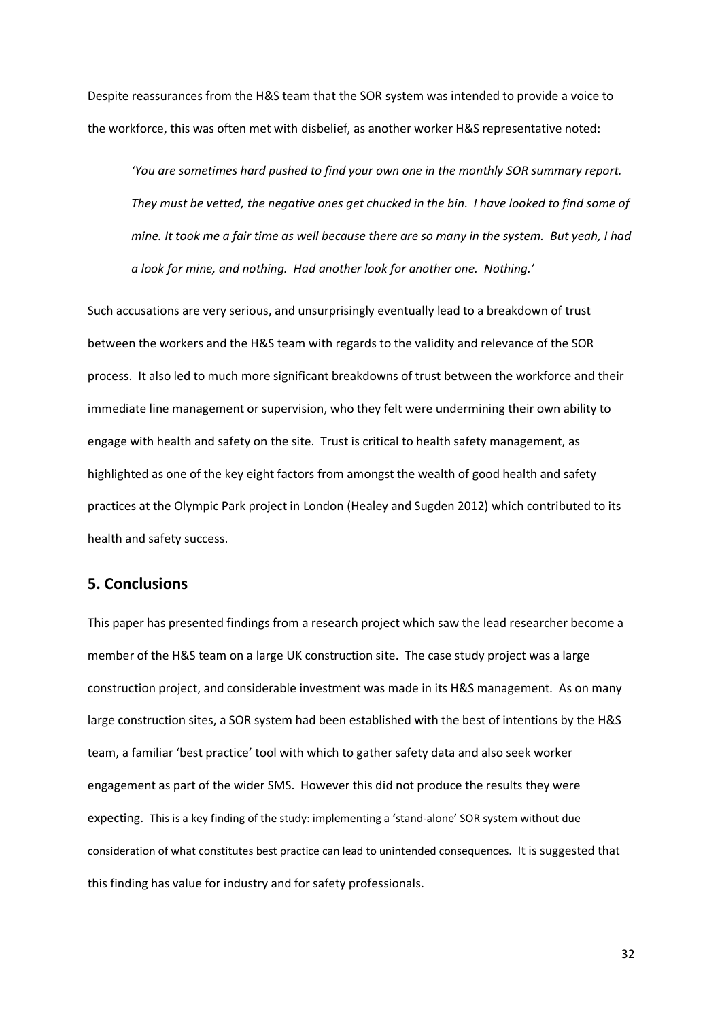Despite reassurances from the H&S team that the SOR system was intended to provide a voice to the workforce, this was often met with disbelief, as another worker H&S representative noted:

*'You are sometimes hard pushed to find your own one in the monthly SOR summary report. They must be vetted, the negative ones get chucked in the bin*. *I have looked to find some of mine. It took me a fair time as well because there are so many in the system. But yeah, I had a look for mine, and nothing. Had another look for another one. Nothing.'*

Such accusations are very serious, and unsurprisingly eventually lead to a breakdown of trust between the workers and the H&S team with regards to the validity and relevance of the SOR process. It also led to much more significant breakdowns of trust between the workforce and their immediate line management or supervision, who they felt were undermining their own ability to engage with health and safety on the site. Trust is critical to health safety management, as highlighted as one of the key eight factors from amongst the wealth of good health and safety practices at the Olympic Park project in London (Healey and Sugden 2012) which contributed to its health and safety success.

## **5. Conclusions**

This paper has presented findings from a research project which saw the lead researcher become a member of the H&S team on a large UK construction site. The case study project was a large construction project, and considerable investment was made in its H&S management. As on many large construction sites, a SOR system had been established with the best of intentions by the H&S team, a familiar 'best practice' tool with which to gather safety data and also seek worker engagement as part of the wider SMS. However this did not produce the results they were expecting. This is a key finding of the study: implementing a 'stand-alone' SOR system without due consideration of what constitutes best practice can lead to unintended consequences. It is suggested that this finding has value for industry and for safety professionals.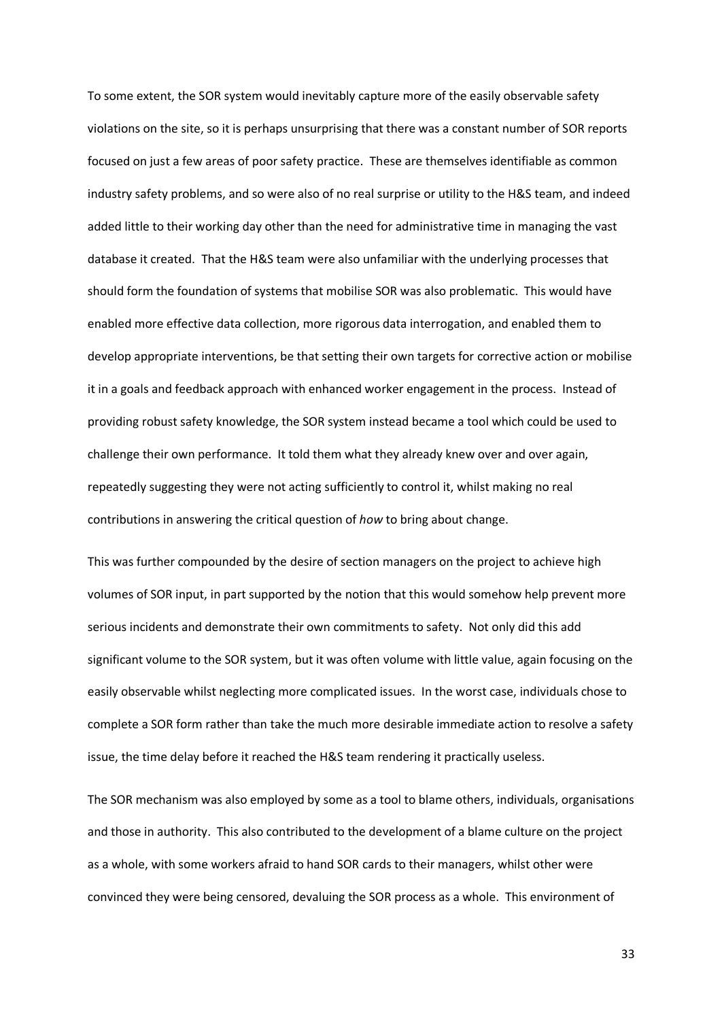To some extent, the SOR system would inevitably capture more of the easily observable safety violations on the site, so it is perhaps unsurprising that there was a constant number of SOR reports focused on just a few areas of poor safety practice. These are themselves identifiable as common industry safety problems, and so were also of no real surprise or utility to the H&S team, and indeed added little to their working day other than the need for administrative time in managing the vast database it created. That the H&S team were also unfamiliar with the underlying processes that should form the foundation of systems that mobilise SOR was also problematic. This would have enabled more effective data collection, more rigorous data interrogation, and enabled them to develop appropriate interventions, be that setting their own targets for corrective action or mobilise it in a goals and feedback approach with enhanced worker engagement in the process. Instead of providing robust safety knowledge, the SOR system instead became a tool which could be used to challenge their own performance. It told them what they already knew over and over again, repeatedly suggesting they were not acting sufficiently to control it, whilst making no real contributions in answering the critical question of *how* to bring about change.

This was further compounded by the desire of section managers on the project to achieve high volumes of SOR input, in part supported by the notion that this would somehow help prevent more serious incidents and demonstrate their own commitments to safety. Not only did this add significant volume to the SOR system, but it was often volume with little value, again focusing on the easily observable whilst neglecting more complicated issues. In the worst case, individuals chose to complete a SOR form rather than take the much more desirable immediate action to resolve a safety issue, the time delay before it reached the H&S team rendering it practically useless.

The SOR mechanism was also employed by some as a tool to blame others, individuals, organisations and those in authority. This also contributed to the development of a blame culture on the project as a whole, with some workers afraid to hand SOR cards to their managers, whilst other were convinced they were being censored, devaluing the SOR process as a whole. This environment of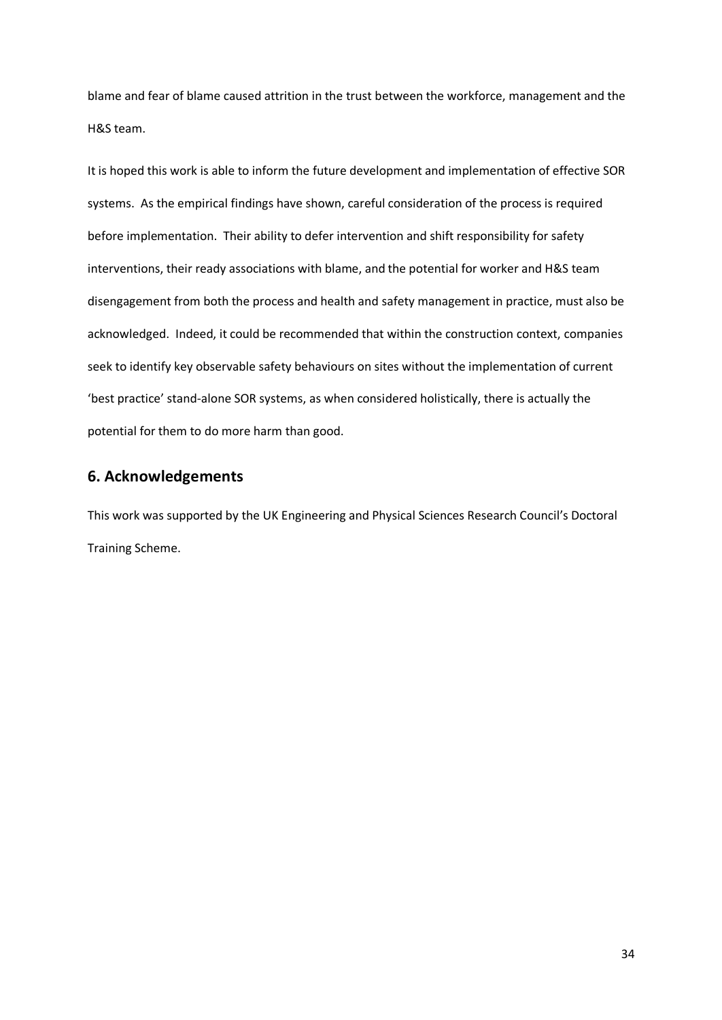blame and fear of blame caused attrition in the trust between the workforce, management and the H&S team.

It is hoped this work is able to inform the future development and implementation of effective SOR systems. As the empirical findings have shown, careful consideration of the process is required before implementation. Their ability to defer intervention and shift responsibility for safety interventions, their ready associations with blame, and the potential for worker and H&S team disengagement from both the process and health and safety management in practice, must also be acknowledged. Indeed, it could be recommended that within the construction context, companies seek to identify key observable safety behaviours on sites without the implementation of current 'best practice' stand-alone SOR systems, as when considered holistically, there is actually the potential for them to do more harm than good.

## **6. Acknowledgements**

This work was supported by the UK Engineering and Physical Sciences Research Council's Doctoral Training Scheme.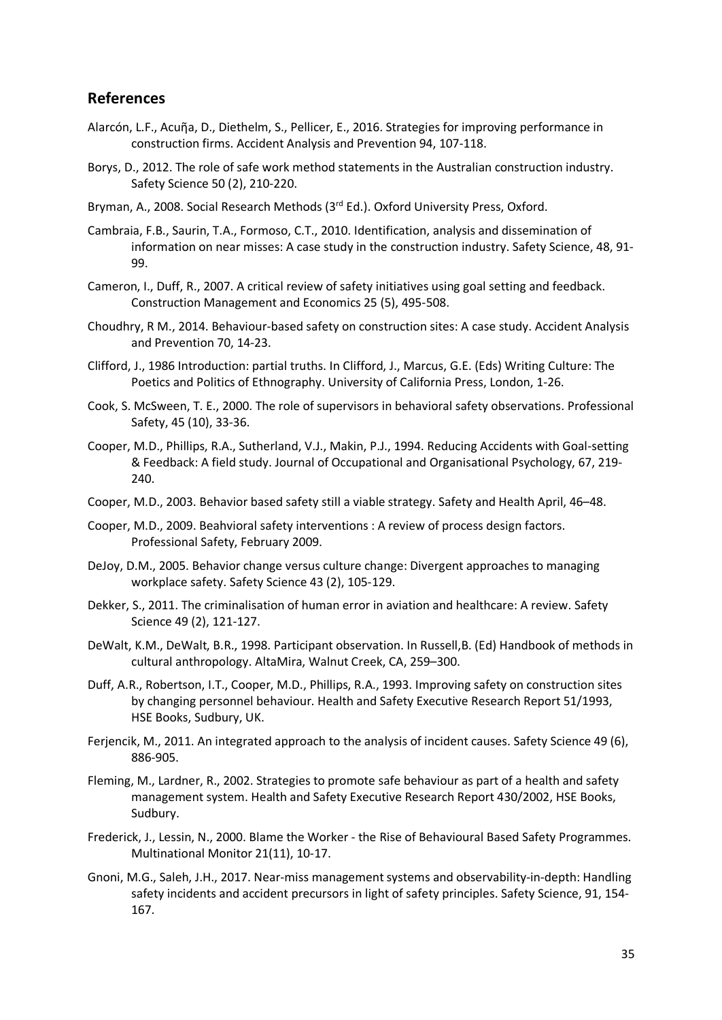## **References**

- Alarcón, L.F., Acuῆa, D., Diethelm, S., Pellicer, E., 2016. Strategies for improving performance in construction firms. Accident Analysis and Prevention 94, 107-118.
- Borys, D., 2012. The role of safe work method statements in the Australian construction industry. Safety Science 50 (2), 210-220.
- Bryman, A., 2008. Social Research Methods (3<sup>rd</sup> Ed.). Oxford University Press, Oxford.
- Cambraia, F.B., Saurin, T.A., Formoso, C.T., 2010. Identification, analysis and dissemination of information on near misses: A case study in the construction industry. Safety Science, 48, 91- 99.
- Cameron, I., Duff, R., 2007. A critical review of safety initiatives using goal setting and feedback. Construction Management and Economics 25 (5), 495-508.
- Choudhry, R M., 2014. Behaviour-based safety on construction sites: A case study. Accident Analysis and Prevention 70, 14-23.
- Clifford, J., 1986 Introduction: partial truths. In Clifford, J., Marcus, G.E. (Eds) Writing Culture: The Poetics and Politics of Ethnography. University of California Press, London, 1-26.
- Cook, S. McSween, T. E., 2000. The role of supervisors in behavioral safety observations. Professional Safety, 45 (10), 33-36.
- Cooper, M.D., Phillips, R.A., Sutherland, V.J., Makin, P.J., 1994. Reducing Accidents with Goal-setting & Feedback: A field study. Journal of Occupational and Organisational Psychology, 67, 219- 240.
- Cooper, M.D., 2003. Behavior based safety still a viable strategy. Safety and Health April, 46–48.
- Cooper, M.D., 2009. Beahvioral safety interventions : A review of process design factors. Professional Safety, February 2009.
- DeJoy, D.M., 2005. Behavior change versus culture change: Divergent approaches to managing workplace safety. Safety Science 43 (2), 105-129.
- Dekker, S., 2011. The criminalisation of human error in aviation and healthcare: A review. Safety Science 49 (2), 121-127.
- DeWalt, K.M., DeWalt, B.R., 1998. Participant observation. In Russell,B. (Ed) Handbook of methods in cultural anthropology. AltaMira, Walnut Creek, CA, 259–300.
- Duff, A.R., Robertson, I.T., Cooper, M.D., Phillips, R.A., 1993. Improving safety on construction sites by changing personnel behaviour. Health and Safety Executive Research Report 51/1993, HSE Books, Sudbury, UK.
- Ferjencik, M., 2011. An integrated approach to the analysis of incident causes. Safety Science 49 (6), 886-905.
- Fleming, M., Lardner, R., 2002. Strategies to promote safe behaviour as part of a health and safety management system. Health and Safety Executive Research Report 430/2002, HSE Books, Sudbury.
- Frederick, J., Lessin, N., 2000. Blame the Worker the Rise of Behavioural Based Safety Programmes. Multinational Monitor 21(11), 10-17.
- Gnoni, M.G., Saleh, J.H., 2017. Near-miss management systems and observability-in-depth: Handling safety incidents and accident precursors in light of safety principles. Safety Science, 91, 154- 167.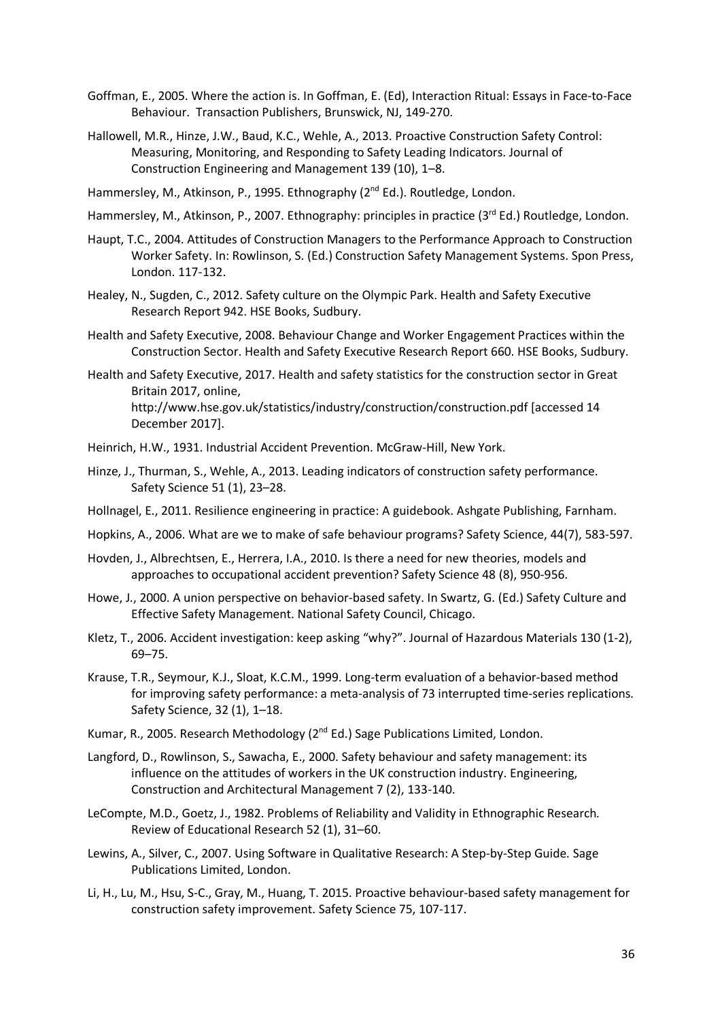- Goffman, E., 2005. Where the action is. In Goffman, E. (Ed), Interaction Ritual: Essays in Face-to-Face Behaviour. Transaction Publishers, Brunswick, NJ, 149-270.
- Hallowell, M.R., Hinze, J.W., Baud, K.C., Wehle, A., 2013. Proactive Construction Safety Control: Measuring, Monitoring, and Responding to Safety Leading Indicators. Journal of Construction Engineering and Management 139 (10), 1–8.

Hammersley, M., Atkinson, P., 1995. Ethnography (2<sup>nd</sup> Ed.). Routledge, London.

Hammersley, M., Atkinson, P., 2007. Ethnography: principles in practice (3<sup>rd</sup> Ed.) Routledge, London.

- Haupt, T.C., 2004. Attitudes of Construction Managers to the Performance Approach to Construction Worker Safety. In: Rowlinson, S. (Ed.) Construction Safety Management Systems. Spon Press, London. 117-132.
- Healey, N., Sugden, C., 2012. Safety culture on the Olympic Park. Health and Safety Executive Research Report 942. HSE Books, Sudbury.
- Health and Safety Executive, 2008. Behaviour Change and Worker Engagement Practices within the Construction Sector. Health and Safety Executive Research Report 660. HSE Books, Sudbury.
- Health and Safety Executive, 2017. Health and safety statistics for the construction sector in Great Britain 2017, online, http://www.hse.gov.uk/statistics/industry/construction/construction.pdf [accessed 14 December 2017].

Heinrich, H.W., 1931. Industrial Accident Prevention. McGraw-Hill, New York.

- Hinze, J., Thurman, S., Wehle, A., 2013. Leading indicators of construction safety performance. Safety Science 51 (1), 23–28.
- Hollnagel, E., 2011. Resilience engineering in practice: A guidebook. Ashgate Publishing, Farnham.
- Hopkins, A., 2006. What are we to make of safe behaviour programs? Safety Science, 44(7), 583-597.
- Hovden, J., Albrechtsen, E., Herrera, I.A., 2010. Is there a need for new theories, models and approaches to occupational accident prevention? Safety Science 48 (8), 950-956.
- Howe, J., 2000. A union perspective on behavior-based safety. In Swartz, G. (Ed.) Safety Culture and Effective Safety Management. National Safety Council, Chicago.
- Kletz, T., 2006. Accident investigation: keep asking "why?". Journal of Hazardous Materials 130 (1-2), 69–75.
- Krause, T.R., Seymour, K.J., Sloat, K.C.M., 1999. Long-term evaluation of a behavior-based method for improving safety performance: a meta-analysis of 73 interrupted time-series replications. Safety Science, 32 (1), 1–18.
- Kumar, R., 2005. Research Methodology (2<sup>nd</sup> Ed.) Sage Publications Limited, London.
- Langford, D., Rowlinson, S., Sawacha, E., 2000. Safety behaviour and safety management: its influence on the attitudes of workers in the UK construction industry. Engineering, Construction and Architectural Management 7 (2), 133-140.
- LeCompte, M.D., Goetz, J., 1982. Problems of Reliability and Validity in Ethnographic Research*.*  Review of Educational Research 52 (1), 31–60.
- Lewins, A., Silver, C., 2007. Using Software in Qualitative Research: A Step-by-Step Guide*.* Sage Publications Limited, London.
- Li, H., Lu, M., Hsu, S-C., Gray, M., Huang, T. 2015. Proactive behaviour-based safety management for construction safety improvement. Safety Science 75, 107-117.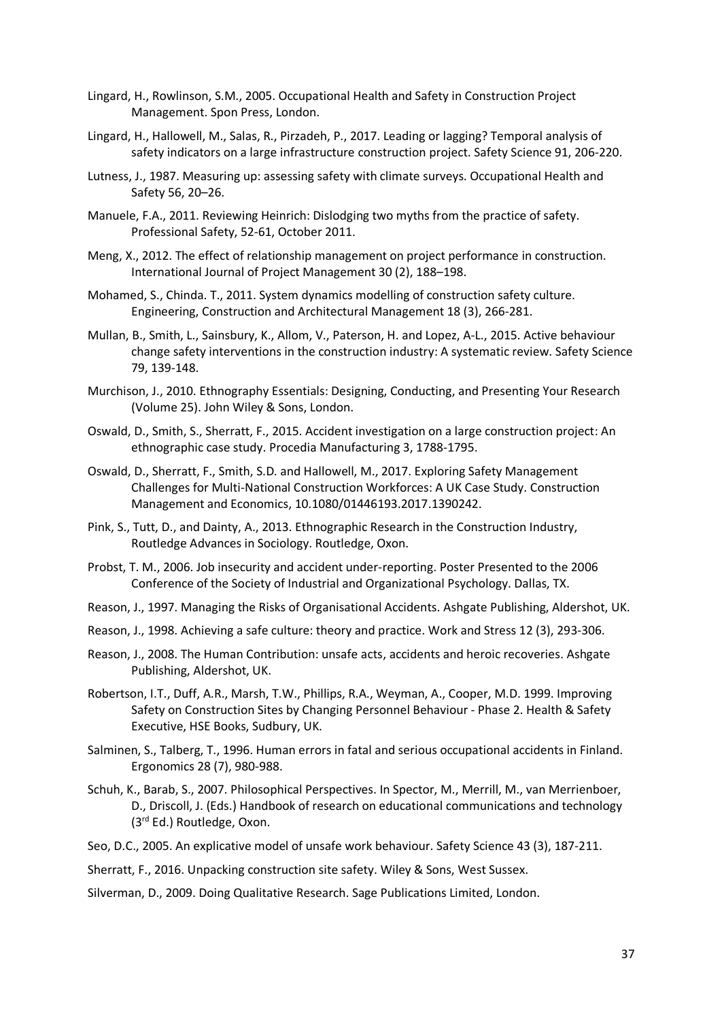- Lingard, H., Rowlinson, S.M., 2005. Occupational Health and Safety in Construction Project Management. Spon Press, London.
- Lingard, H., Hallowell, M., Salas, R., Pirzadeh, P., 2017. Leading or lagging? Temporal analysis of safety indicators on a large infrastructure construction project. Safety Science 91, 206-220.
- Lutness, J., 1987. Measuring up: assessing safety with climate surveys. Occupational Health and Safety 56, 20–26.
- Manuele, F.A., 2011. Reviewing Heinrich: Dislodging two myths from the practice of safety. Professional Safety, 52-61, October 2011.
- Meng, X., 2012. The effect of relationship management on project performance in construction. International Journal of Project Management 30 (2), 188–198.
- Mohamed, S., Chinda. T., 2011. System dynamics modelling of construction safety culture. Engineering, Construction and Architectural Management 18 (3), 266-281.
- Mullan, B., Smith, L., Sainsbury, K., Allom, V., Paterson, H. and Lopez, A-L., 2015. Active behaviour change safety interventions in the construction industry: A systematic review. Safety Science 79, 139-148.
- Murchison, J., 2010. Ethnography Essentials: Designing, Conducting, and Presenting Your Research (Volume 25). John Wiley & Sons, London.
- Oswald, D., Smith, S., Sherratt, F., 2015. Accident investigation on a large construction project: An ethnographic case study. Procedia Manufacturing 3, 1788-1795.
- Oswald, D., Sherratt, F., Smith, S.D. and Hallowell, M., 2017. Exploring Safety Management Challenges for Multi-National Construction Workforces: A UK Case Study. Construction Management and Economics, 10.1080/01446193.2017.1390242.
- Pink, S., Tutt, D., and Dainty, A., 2013. Ethnographic Research in the Construction Industry, Routledge Advances in Sociology. Routledge, Oxon.
- Probst, T. M., 2006. Job insecurity and accident under-reporting. Poster Presented to the 2006 Conference of the Society of Industrial and Organizational Psychology. Dallas, TX.
- Reason, J., 1997. Managing the Risks of Organisational Accidents. Ashgate Publishing, Aldershot, UK.
- Reason, J., 1998. Achieving a safe culture: theory and practice. Work and Stress 12 (3), 293-306.
- Reason, J., 2008. The Human Contribution: unsafe acts, accidents and heroic recoveries. Ashgate Publishing, Aldershot, UK.
- Robertson, I.T., Duff, A.R., Marsh, T.W., Phillips, R.A., Weyman, A., Cooper, M.D. 1999. Improving Safety on Construction Sites by Changing Personnel Behaviour - Phase 2. Health & Safety Executive, HSE Books, Sudbury, UK.
- Salminen, S., Talberg, T., 1996. Human errors in fatal and serious occupational accidents in Finland. Ergonomics 28 (7), 980-988.
- Schuh, K., Barab, S., 2007. Philosophical Perspectives. In Spector, M., Merrill, M., van Merrienboer, D., Driscoll, J. (Eds.) Handbook of research on educational communications and technology (3rd Ed.) Routledge, Oxon.
- Seo, D.C., 2005. An explicative model of unsafe work behaviour. Safety Science 43 (3), 187-211.
- Sherratt, F., 2016. Unpacking construction site safety. Wiley & Sons, West Sussex.
- Silverman, D., 2009. Doing Qualitative Research. Sage Publications Limited, London.